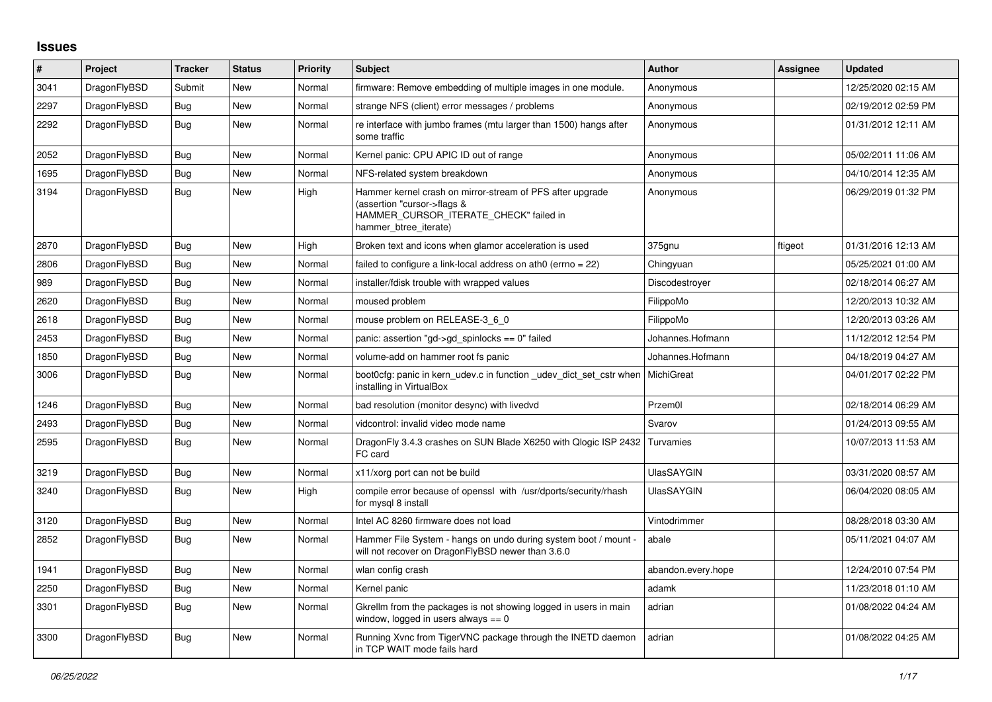## **Issues**

| #    | Project      | <b>Tracker</b> | <b>Status</b> | <b>Priority</b> | <b>Subject</b>                                                                                                                                              | <b>Author</b>      | Assignee | <b>Updated</b>      |
|------|--------------|----------------|---------------|-----------------|-------------------------------------------------------------------------------------------------------------------------------------------------------------|--------------------|----------|---------------------|
| 3041 | DragonFlyBSD | Submit         | New           | Normal          | firmware: Remove embedding of multiple images in one module.                                                                                                | Anonymous          |          | 12/25/2020 02:15 AM |
| 2297 | DragonFlyBSD | <b>Bug</b>     | <b>New</b>    | Normal          | strange NFS (client) error messages / problems                                                                                                              | Anonymous          |          | 02/19/2012 02:59 PM |
| 2292 | DragonFlyBSD | <b>Bug</b>     | <b>New</b>    | Normal          | re interface with jumbo frames (mtu larger than 1500) hangs after<br>some traffic                                                                           | Anonymous          |          | 01/31/2012 12:11 AM |
| 2052 | DragonFlyBSD | Bug            | <b>New</b>    | Normal          | Kernel panic: CPU APIC ID out of range                                                                                                                      | Anonymous          |          | 05/02/2011 11:06 AM |
| 1695 | DragonFlyBSD | Bug            | <b>New</b>    | Normal          | NFS-related system breakdown                                                                                                                                | Anonymous          |          | 04/10/2014 12:35 AM |
| 3194 | DragonFlyBSD | Bug            | <b>New</b>    | High            | Hammer kernel crash on mirror-stream of PFS after upgrade<br>(assertion "cursor->flags &<br>HAMMER_CURSOR_ITERATE_CHECK" failed in<br>hammer_btree_iterate) | Anonymous          |          | 06/29/2019 01:32 PM |
| 2870 | DragonFlyBSD | Bug            | <b>New</b>    | High            | Broken text and icons when glamor acceleration is used                                                                                                      | 375gnu             | ftigeot  | 01/31/2016 12:13 AM |
| 2806 | DragonFlyBSD | Bug            | <b>New</b>    | Normal          | failed to configure a link-local address on ath0 (errno = 22)                                                                                               | Chingyuan          |          | 05/25/2021 01:00 AM |
| 989  | DragonFlyBSD | Bug            | <b>New</b>    | Normal          | installer/fdisk trouble with wrapped values                                                                                                                 | Discodestrover     |          | 02/18/2014 06:27 AM |
| 2620 | DragonFlyBSD | Bug            | <b>New</b>    | Normal          | moused problem                                                                                                                                              | FilippoMo          |          | 12/20/2013 10:32 AM |
| 2618 | DragonFlyBSD | Bug            | <b>New</b>    | Normal          | mouse problem on RELEASE-3 6 0                                                                                                                              | FilippoMo          |          | 12/20/2013 03:26 AM |
| 2453 | DragonFlyBSD | Bug            | <b>New</b>    | Normal          | panic: assertion "gd->gd spinlocks == $0$ " failed                                                                                                          | Johannes.Hofmann   |          | 11/12/2012 12:54 PM |
| 1850 | DragonFlyBSD | Bug            | New           | Normal          | volume-add on hammer root fs panic                                                                                                                          | Johannes.Hofmann   |          | 04/18/2019 04:27 AM |
| 3006 | DragonFlyBSD | Bug            | <b>New</b>    | Normal          | boot0cfg: panic in kern_udev.c in function _udev_dict_set_cstr when<br>installing in VirtualBox                                                             | MichiGreat         |          | 04/01/2017 02:22 PM |
| 1246 | DragonFlyBSD | Bug            | <b>New</b>    | Normal          | bad resolution (monitor desync) with livedvd                                                                                                                | Przem0l            |          | 02/18/2014 06:29 AM |
| 2493 | DragonFlyBSD | Bug            | <b>New</b>    | Normal          | vidcontrol: invalid video mode name                                                                                                                         | Svarov             |          | 01/24/2013 09:55 AM |
| 2595 | DragonFlyBSD | <b>Bug</b>     | <b>New</b>    | Normal          | DragonFly 3.4.3 crashes on SUN Blade X6250 with Qlogic ISP 2432<br>FC card                                                                                  | Turvamies          |          | 10/07/2013 11:53 AM |
| 3219 | DragonFlyBSD | Bug            | <b>New</b>    | Normal          | x11/xorg port can not be build                                                                                                                              | <b>UlasSAYGIN</b>  |          | 03/31/2020 08:57 AM |
| 3240 | DragonFlyBSD | Bug            | New           | High            | compile error because of openssl with /usr/dports/security/rhash<br>for mysql 8 install                                                                     | UlasSAYGIN         |          | 06/04/2020 08:05 AM |
| 3120 | DragonFlyBSD | Bug            | <b>New</b>    | Normal          | Intel AC 8260 firmware does not load                                                                                                                        | Vintodrimmer       |          | 08/28/2018 03:30 AM |
| 2852 | DragonFlyBSD | Bug            | <b>New</b>    | Normal          | Hammer File System - hangs on undo during system boot / mount -<br>will not recover on DragonFlyBSD newer than 3.6.0                                        | abale              |          | 05/11/2021 04:07 AM |
| 1941 | DragonFlyBSD | Bug            | <b>New</b>    | Normal          | wlan config crash                                                                                                                                           | abandon.every.hope |          | 12/24/2010 07:54 PM |
| 2250 | DragonFlyBSD | Bug            | <b>New</b>    | Normal          | Kernel panic                                                                                                                                                | adamk              |          | 11/23/2018 01:10 AM |
| 3301 | DragonFlyBSD | <b>Bug</b>     | <b>New</b>    | Normal          | Gkrellm from the packages is not showing logged in users in main<br>window, logged in users always $== 0$                                                   | adrian             |          | 01/08/2022 04:24 AM |
| 3300 | DragonFlyBSD | Bug            | <b>New</b>    | Normal          | Running Xvnc from TigerVNC package through the INETD daemon<br>in TCP WAIT mode fails hard                                                                  | adrian             |          | 01/08/2022 04:25 AM |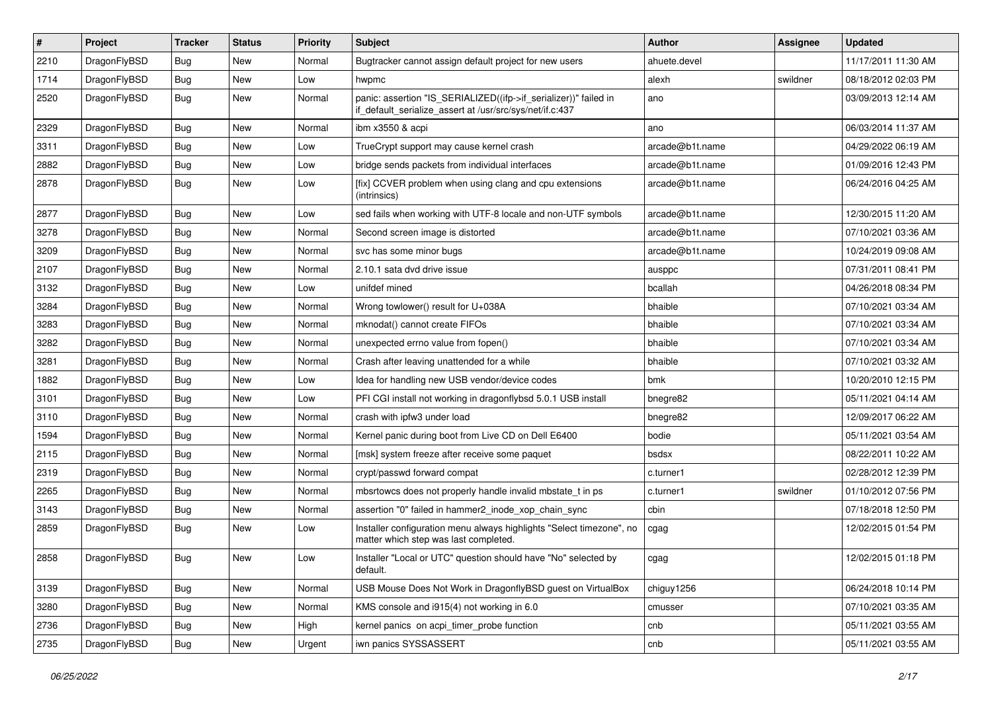| $\sharp$ | Project      | <b>Tracker</b> | <b>Status</b> | <b>Priority</b> | Subject                                                                                                                      | <b>Author</b>   | Assignee | <b>Updated</b>      |
|----------|--------------|----------------|---------------|-----------------|------------------------------------------------------------------------------------------------------------------------------|-----------------|----------|---------------------|
| 2210     | DragonFlyBSD | Bug            | New           | Normal          | Bugtracker cannot assign default project for new users                                                                       | ahuete.devel    |          | 11/17/2011 11:30 AM |
| 1714     | DragonFlyBSD | Bug            | <b>New</b>    | Low             | hwpmc                                                                                                                        | alexh           | swildner | 08/18/2012 02:03 PM |
| 2520     | DragonFlyBSD | Bug            | <b>New</b>    | Normal          | panic: assertion "IS_SERIALIZED((ifp->if_serializer))" failed in<br>if default serialize assert at /usr/src/sys/net/if.c:437 | ano             |          | 03/09/2013 12:14 AM |
| 2329     | DragonFlyBSD | Bug            | <b>New</b>    | Normal          | ibm x3550 & acpi                                                                                                             | ano             |          | 06/03/2014 11:37 AM |
| 3311     | DragonFlyBSD | Bug            | New           | Low             | TrueCrypt support may cause kernel crash                                                                                     | arcade@b1t.name |          | 04/29/2022 06:19 AM |
| 2882     | DragonFlyBSD | Bug            | <b>New</b>    | Low             | bridge sends packets from individual interfaces                                                                              | arcade@b1t.name |          | 01/09/2016 12:43 PM |
| 2878     | DragonFlyBSD | Bug            | New           | Low             | [fix] CCVER problem when using clang and cpu extensions<br>(intrinsics)                                                      | arcade@b1t.name |          | 06/24/2016 04:25 AM |
| 2877     | DragonFlyBSD | Bug            | <b>New</b>    | Low             | sed fails when working with UTF-8 locale and non-UTF symbols                                                                 | arcade@b1t.name |          | 12/30/2015 11:20 AM |
| 3278     | DragonFlyBSD | Bug            | New           | Normal          | Second screen image is distorted                                                                                             | arcade@b1t.name |          | 07/10/2021 03:36 AM |
| 3209     | DragonFlyBSD | Bug            | <b>New</b>    | Normal          | svc has some minor bugs                                                                                                      | arcade@b1t.name |          | 10/24/2019 09:08 AM |
| 2107     | DragonFlyBSD | Bug            | New           | Normal          | 2.10.1 sata dvd drive issue                                                                                                  | ausppc          |          | 07/31/2011 08:41 PM |
| 3132     | DragonFlyBSD | Bug            | New           | Low             | unifdef mined                                                                                                                | bcallah         |          | 04/26/2018 08:34 PM |
| 3284     | DragonFlyBSD | Bug            | <b>New</b>    | Normal          | Wrong towlower() result for U+038A                                                                                           | bhaible         |          | 07/10/2021 03:34 AM |
| 3283     | DragonFlyBSD | Bug            | <b>New</b>    | Normal          | mknodat() cannot create FIFOs                                                                                                | bhaible         |          | 07/10/2021 03:34 AM |
| 3282     | DragonFlyBSD | Bug            | New           | Normal          | unexpected errno value from fopen()                                                                                          | bhaible         |          | 07/10/2021 03:34 AM |
| 3281     | DragonFlyBSD | Bug            | <b>New</b>    | Normal          | Crash after leaving unattended for a while                                                                                   | bhaible         |          | 07/10/2021 03:32 AM |
| 1882     | DragonFlyBSD | Bug            | New           | Low             | Idea for handling new USB vendor/device codes                                                                                | bmk             |          | 10/20/2010 12:15 PM |
| 3101     | DragonFlyBSD | Bug            | New           | Low             | PFI CGI install not working in dragonflybsd 5.0.1 USB install                                                                | bnegre82        |          | 05/11/2021 04:14 AM |
| 3110     | DragonFlyBSD | Bug            | New           | Normal          | crash with ipfw3 under load                                                                                                  | bnegre82        |          | 12/09/2017 06:22 AM |
| 1594     | DragonFlyBSD | Bug            | <b>New</b>    | Normal          | Kernel panic during boot from Live CD on Dell E6400                                                                          | bodie           |          | 05/11/2021 03:54 AM |
| 2115     | DragonFlyBSD | Bug            | New           | Normal          | [msk] system freeze after receive some paquet                                                                                | bsdsx           |          | 08/22/2011 10:22 AM |
| 2319     | DragonFlyBSD | Bug            | New           | Normal          | crypt/passwd forward compat                                                                                                  | c.turner1       |          | 02/28/2012 12:39 PM |
| 2265     | DragonFlyBSD | Bug            | New           | Normal          | mbsrtowcs does not properly handle invalid mbstate_t in ps                                                                   | c.turner1       | swildner | 01/10/2012 07:56 PM |
| 3143     | DragonFlyBSD | Bug            | New           | Normal          | assertion "0" failed in hammer2_inode_xop_chain_sync                                                                         | cbin            |          | 07/18/2018 12:50 PM |
| 2859     | DragonFlyBSD | Bug            | <b>New</b>    | Low             | Installer configuration menu always highlights "Select timezone", no<br>matter which step was last completed.                | cgag            |          | 12/02/2015 01:54 PM |
| 2858     | DragonFlyBSD | Bug            | New           | Low             | Installer "Local or UTC" question should have "No" selected by<br>default.                                                   | cgag            |          | 12/02/2015 01:18 PM |
| 3139     | DragonFlyBSD | <b>Bug</b>     | New           | Normal          | USB Mouse Does Not Work in DragonflyBSD guest on VirtualBox                                                                  | chiguy1256      |          | 06/24/2018 10:14 PM |
| 3280     | DragonFlyBSD | <b>Bug</b>     | New           | Normal          | KMS console and i915(4) not working in 6.0                                                                                   | cmusser         |          | 07/10/2021 03:35 AM |
| 2736     | DragonFlyBSD | <b>Bug</b>     | New           | High            | kernel panics on acpi timer probe function                                                                                   | cnb             |          | 05/11/2021 03:55 AM |
| 2735     | DragonFlyBSD | <b>Bug</b>     | New           | Urgent          | iwn panics SYSSASSERT                                                                                                        | cnb             |          | 05/11/2021 03:55 AM |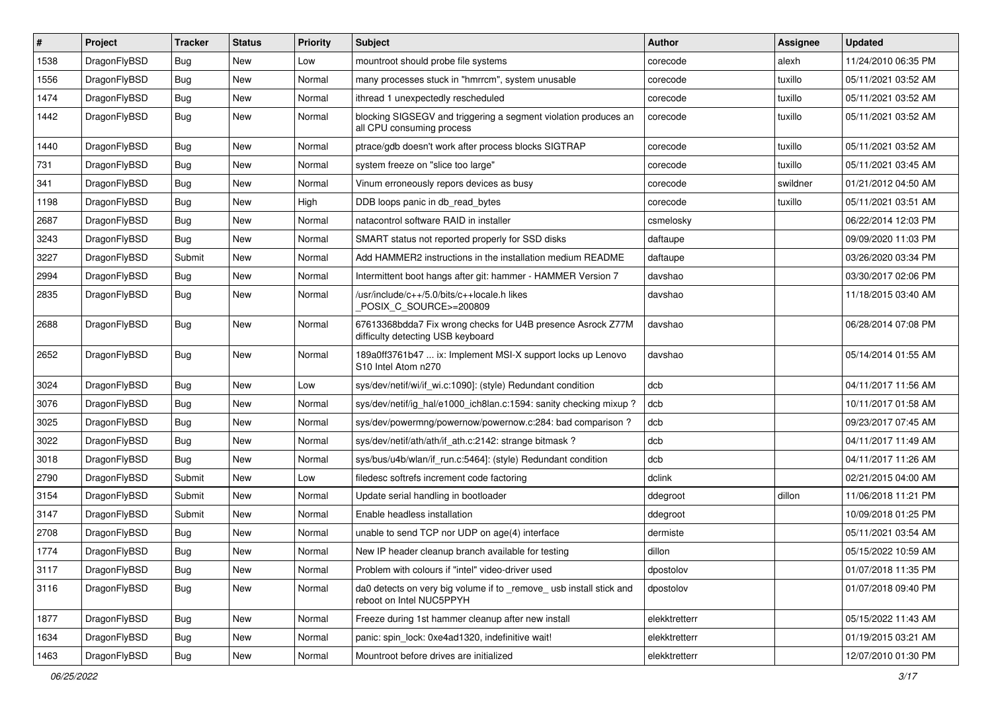| ∦    | Project      | <b>Tracker</b> | <b>Status</b> | <b>Priority</b> | <b>Subject</b>                                                                                             | <b>Author</b> | Assignee | <b>Updated</b>      |
|------|--------------|----------------|---------------|-----------------|------------------------------------------------------------------------------------------------------------|---------------|----------|---------------------|
| 1538 | DragonFlyBSD | Bug            | <b>New</b>    | Low             | mountroot should probe file systems                                                                        | corecode      | alexh    | 11/24/2010 06:35 PM |
| 1556 | DragonFlyBSD | <b>Bug</b>     | <b>New</b>    | Normal          | many processes stuck in "hmrrcm", system unusable                                                          | corecode      | tuxillo  | 05/11/2021 03:52 AM |
| 1474 | DragonFlyBSD | Bug            | <b>New</b>    | Normal          | ithread 1 unexpectedly rescheduled                                                                         | corecode      | tuxillo  | 05/11/2021 03:52 AM |
| 1442 | DragonFlyBSD | Bug            | New           | Normal          | blocking SIGSEGV and triggering a segment violation produces an<br>all CPU consuming process               | corecode      | tuxillo  | 05/11/2021 03:52 AM |
| 1440 | DragonFlyBSD | Bug            | <b>New</b>    | Normal          | ptrace/gdb doesn't work after process blocks SIGTRAP                                                       | corecode      | tuxillo  | 05/11/2021 03:52 AM |
| 731  | DragonFlyBSD | Bug            | <b>New</b>    | Normal          | system freeze on "slice too large"                                                                         | corecode      | tuxillo  | 05/11/2021 03:45 AM |
| 341  | DragonFlyBSD | Bug            | New           | Normal          | Vinum erroneously repors devices as busy                                                                   | corecode      | swildner | 01/21/2012 04:50 AM |
| 1198 | DragonFlyBSD | <b>Bug</b>     | <b>New</b>    | High            | DDB loops panic in db_read_bytes                                                                           | corecode      | tuxillo  | 05/11/2021 03:51 AM |
| 2687 | DragonFlyBSD | <b>Bug</b>     | <b>New</b>    | Normal          | natacontrol software RAID in installer                                                                     | csmelosky     |          | 06/22/2014 12:03 PM |
| 3243 | DragonFlyBSD | Bug            | <b>New</b>    | Normal          | SMART status not reported properly for SSD disks                                                           | daftaupe      |          | 09/09/2020 11:03 PM |
| 3227 | DragonFlyBSD | Submit         | <b>New</b>    | Normal          | Add HAMMER2 instructions in the installation medium README                                                 | daftaupe      |          | 03/26/2020 03:34 PM |
| 2994 | DragonFlyBSD | Bug            | <b>New</b>    | Normal          | Intermittent boot hangs after git: hammer - HAMMER Version 7                                               | davshao       |          | 03/30/2017 02:06 PM |
| 2835 | DragonFlyBSD | Bug            | <b>New</b>    | Normal          | /usr/include/c++/5.0/bits/c++locale.h likes<br>POSIX C_SOURCE>=200809                                      | davshao       |          | 11/18/2015 03:40 AM |
| 2688 | DragonFlyBSD | <b>Bug</b>     | New           | Normal          | 67613368bdda7 Fix wrong checks for U4B presence Asrock Z77M<br>difficulty detecting USB keyboard           | davshao       |          | 06/28/2014 07:08 PM |
| 2652 | DragonFlyBSD | <b>Bug</b>     | New           | Normal          | 189a0ff3761b47  ix: Implement MSI-X support locks up Lenovo<br>S <sub>10</sub> Intel Atom n <sub>270</sub> | davshao       |          | 05/14/2014 01:55 AM |
| 3024 | DragonFlyBSD | <b>Bug</b>     | <b>New</b>    | Low             | sys/dev/netif/wi/if wi.c:1090]: (style) Redundant condition                                                | dcb           |          | 04/11/2017 11:56 AM |
| 3076 | DragonFlyBSD | <b>Bug</b>     | <b>New</b>    | Normal          | sys/dev/netif/ig hal/e1000 ich8lan.c:1594: sanity checking mixup?                                          | dcb           |          | 10/11/2017 01:58 AM |
| 3025 | DragonFlyBSD | <b>Bug</b>     | <b>New</b>    | Normal          | sys/dev/powermng/powernow/powernow.c:284: bad comparison?                                                  | dcb           |          | 09/23/2017 07:45 AM |
| 3022 | DragonFlyBSD | Bug            | <b>New</b>    | Normal          | sys/dev/netif/ath/ath/if ath.c:2142: strange bitmask?                                                      | dcb           |          | 04/11/2017 11:49 AM |
| 3018 | DragonFlyBSD | Bug            | New           | Normal          | sys/bus/u4b/wlan/if_run.c:5464]: (style) Redundant condition                                               | dcb           |          | 04/11/2017 11:26 AM |
| 2790 | DragonFlyBSD | Submit         | <b>New</b>    | Low             | filedesc softrefs increment code factoring                                                                 | dclink        |          | 02/21/2015 04:00 AM |
| 3154 | DragonFlyBSD | Submit         | <b>New</b>    | Normal          | Update serial handling in bootloader                                                                       | ddegroot      | dillon   | 11/06/2018 11:21 PM |
| 3147 | DragonFlyBSD | Submit         | <b>New</b>    | Normal          | Enable headless installation                                                                               | ddegroot      |          | 10/09/2018 01:25 PM |
| 2708 | DragonFlyBSD | Bug            | <b>New</b>    | Normal          | unable to send TCP nor UDP on age(4) interface                                                             | dermiste      |          | 05/11/2021 03:54 AM |
| 1774 | DragonFlyBSD | Bug            | New           | Normal          | New IP header cleanup branch available for testing                                                         | dillon        |          | 05/15/2022 10:59 AM |
| 3117 | DragonFlyBSD | <b>Bug</b>     | New           | Normal          | Problem with colours if "intel" video-driver used                                                          | dpostolov     |          | 01/07/2018 11:35 PM |
| 3116 | DragonFlyBSD | Bug            | New           | Normal          | da0 detects on very big volume if to _remove_ usb install stick and<br>reboot on Intel NUC5PPYH            | dpostolov     |          | 01/07/2018 09:40 PM |
| 1877 | DragonFlyBSD | Bug            | New           | Normal          | Freeze during 1st hammer cleanup after new install                                                         | elekktretterr |          | 05/15/2022 11:43 AM |
| 1634 | DragonFlyBSD | <b>Bug</b>     | New           | Normal          | panic: spin_lock: 0xe4ad1320, indefinitive wait!                                                           | elekktretterr |          | 01/19/2015 03:21 AM |
| 1463 | DragonFlyBSD | <b>Bug</b>     | New           | Normal          | Mountroot before drives are initialized                                                                    | elekktretterr |          | 12/07/2010 01:30 PM |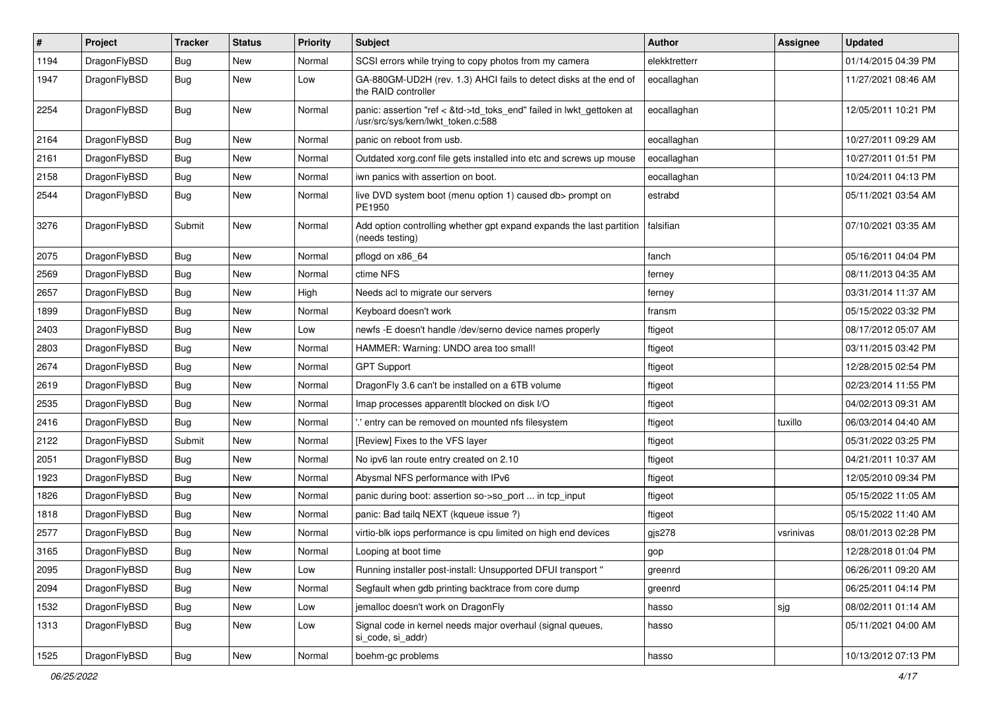| $\pmb{\#}$ | Project      | <b>Tracker</b> | <b>Status</b> | <b>Priority</b> | <b>Subject</b>                                                                                             | Author        | Assignee  | <b>Updated</b>      |
|------------|--------------|----------------|---------------|-----------------|------------------------------------------------------------------------------------------------------------|---------------|-----------|---------------------|
| 1194       | DragonFlyBSD | Bug            | New           | Normal          | SCSI errors while trying to copy photos from my camera                                                     | elekktretterr |           | 01/14/2015 04:39 PM |
| 1947       | DragonFlyBSD | Bug            | <b>New</b>    | Low             | GA-880GM-UD2H (rev. 1.3) AHCI fails to detect disks at the end of<br>the RAID controller                   | eocallaghan   |           | 11/27/2021 08:46 AM |
| 2254       | DragonFlyBSD | Bug            | New           | Normal          | panic: assertion "ref < &td->td_toks_end" failed in lwkt_gettoken at<br>/usr/src/sys/kern/lwkt_token.c:588 | eocallaghan   |           | 12/05/2011 10:21 PM |
| 2164       | DragonFlyBSD | Bug            | New           | Normal          | panic on reboot from usb.                                                                                  | eocallaghan   |           | 10/27/2011 09:29 AM |
| 2161       | DragonFlyBSD | Bug            | New           | Normal          | Outdated xorg.conf file gets installed into etc and screws up mouse                                        | eocallaghan   |           | 10/27/2011 01:51 PM |
| 2158       | DragonFlyBSD | <b>Bug</b>     | New           | Normal          | iwn panics with assertion on boot.                                                                         | eocallaghan   |           | 10/24/2011 04:13 PM |
| 2544       | DragonFlyBSD | Bug            | New           | Normal          | live DVD system boot (menu option 1) caused db> prompt on<br>PE1950                                        | estrabd       |           | 05/11/2021 03:54 AM |
| 3276       | DragonFlyBSD | Submit         | New           | Normal          | Add option controlling whether gpt expand expands the last partition<br>(needs testing)                    | falsifian     |           | 07/10/2021 03:35 AM |
| 2075       | DragonFlyBSD | Bug            | <b>New</b>    | Normal          | pflogd on x86_64                                                                                           | fanch         |           | 05/16/2011 04:04 PM |
| 2569       | DragonFlyBSD | Bug            | New           | Normal          | ctime NFS                                                                                                  | ferney        |           | 08/11/2013 04:35 AM |
| 2657       | DragonFlyBSD | Bug            | New           | High            | Needs acl to migrate our servers                                                                           | ferney        |           | 03/31/2014 11:37 AM |
| 1899       | DragonFlyBSD | Bug            | New           | Normal          | Keyboard doesn't work                                                                                      | fransm        |           | 05/15/2022 03:32 PM |
| 2403       | DragonFlyBSD | Bug            | <b>New</b>    | Low             | newfs -E doesn't handle /dev/serno device names properly                                                   | ftigeot       |           | 08/17/2012 05:07 AM |
| 2803       | DragonFlyBSD | Bug            | New           | Normal          | HAMMER: Warning: UNDO area too small!                                                                      | ftigeot       |           | 03/11/2015 03:42 PM |
| 2674       | DragonFlyBSD | Bug            | New           | Normal          | <b>GPT Support</b>                                                                                         | ftigeot       |           | 12/28/2015 02:54 PM |
| 2619       | DragonFlyBSD | <b>Bug</b>     | New           | Normal          | DragonFly 3.6 can't be installed on a 6TB volume                                                           | ftigeot       |           | 02/23/2014 11:55 PM |
| 2535       | DragonFlyBSD | Bug            | New           | Normal          | Imap processes apparentlt blocked on disk I/O                                                              | ftigeot       |           | 04/02/2013 09:31 AM |
| 2416       | DragonFlyBSD | Bug            | New           | Normal          | ".' entry can be removed on mounted nfs filesystem                                                         | ftigeot       | tuxillo   | 06/03/2014 04:40 AM |
| 2122       | DragonFlyBSD | Submit         | New           | Normal          | [Review] Fixes to the VFS layer                                                                            | ftigeot       |           | 05/31/2022 03:25 PM |
| 2051       | DragonFlyBSD | <b>Bug</b>     | New           | Normal          | No ipv6 lan route entry created on 2.10                                                                    | ftigeot       |           | 04/21/2011 10:37 AM |
| 1923       | DragonFlyBSD | Bug            | New           | Normal          | Abysmal NFS performance with IPv6                                                                          | ftigeot       |           | 12/05/2010 09:34 PM |
| 1826       | DragonFlyBSD | Bug            | <b>New</b>    | Normal          | panic during boot: assertion so->so_port  in tcp_input                                                     | ftigeot       |           | 05/15/2022 11:05 AM |
| 1818       | DragonFlyBSD | Bug            | New           | Normal          | panic: Bad tailq NEXT (kqueue issue ?)                                                                     | ftigeot       |           | 05/15/2022 11:40 AM |
| 2577       | DragonFlyBSD | Bug            | <b>New</b>    | Normal          | virtio-blk iops performance is cpu limited on high end devices                                             | $g$ js278     | vsrinivas | 08/01/2013 02:28 PM |
| 3165       | DragonFlyBSD | Bug            | New           | Normal          | Looping at boot time                                                                                       | gop           |           | 12/28/2018 01:04 PM |
| 2095       | DragonFlyBSD | <b>Bug</b>     | New           | Low             | Running installer post-install: Unsupported DFUI transport"                                                | greenrd       |           | 06/26/2011 09:20 AM |
| 2094       | DragonFlyBSD | Bug            | New           | Normal          | Segfault when gdb printing backtrace from core dump                                                        | greenrd       |           | 06/25/2011 04:14 PM |
| 1532       | DragonFlyBSD | <b>Bug</b>     | New           | Low             | jemalloc doesn't work on DragonFly                                                                         | hasso         | sjg       | 08/02/2011 01:14 AM |
| 1313       | DragonFlyBSD | <b>Bug</b>     | <b>New</b>    | Low             | Signal code in kernel needs major overhaul (signal queues,<br>si_code, si_addr)                            | hasso         |           | 05/11/2021 04:00 AM |
| 1525       | DragonFlyBSD | <b>Bug</b>     | New           | Normal          | boehm-gc problems                                                                                          | hasso         |           | 10/13/2012 07:13 PM |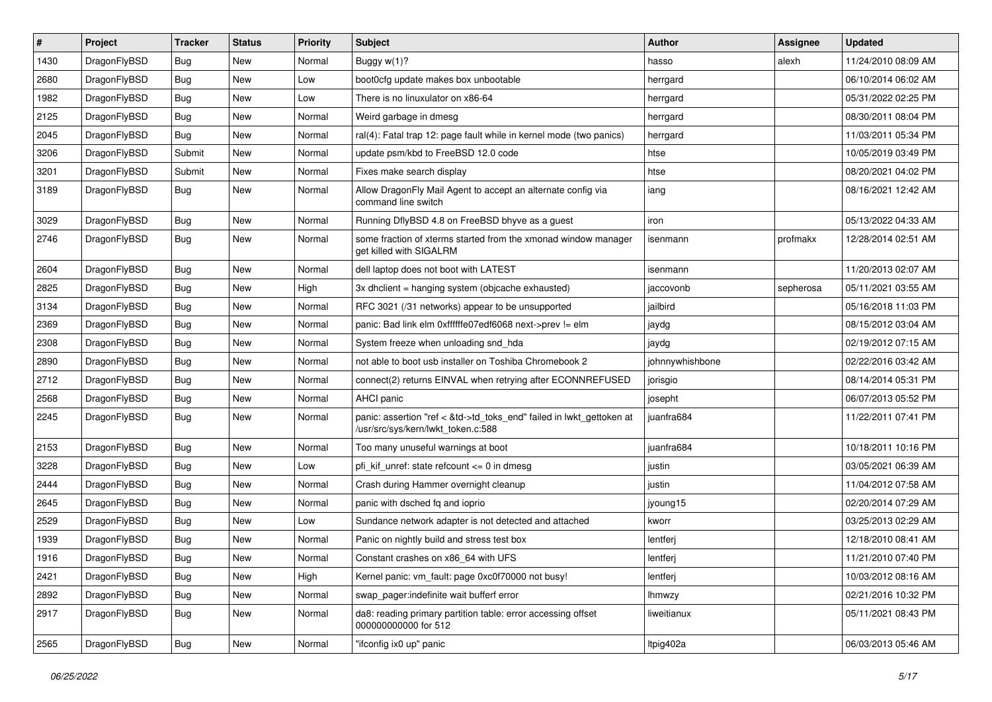| $\sharp$ | Project      | <b>Tracker</b> | <b>Status</b> | <b>Priority</b> | Subject                                                                                                    | <b>Author</b>   | <b>Assignee</b> | <b>Updated</b>      |
|----------|--------------|----------------|---------------|-----------------|------------------------------------------------------------------------------------------------------------|-----------------|-----------------|---------------------|
| 1430     | DragonFlyBSD | <b>Bug</b>     | New           | Normal          | Buggy w(1)?                                                                                                | hasso           | alexh           | 11/24/2010 08:09 AM |
| 2680     | DragonFlyBSD | Bug            | <b>New</b>    | Low             | boot0cfg update makes box unbootable                                                                       | herrgard        |                 | 06/10/2014 06:02 AM |
| 1982     | DragonFlyBSD | Bug            | New           | Low             | There is no linuxulator on x86-64                                                                          | herrgard        |                 | 05/31/2022 02:25 PM |
| 2125     | DragonFlyBSD | Bug            | <b>New</b>    | Normal          | Weird garbage in dmesg                                                                                     | herrgard        |                 | 08/30/2011 08:04 PM |
| 2045     | DragonFlyBSD | Bug            | New           | Normal          | ral(4): Fatal trap 12: page fault while in kernel mode (two panics)                                        | herrgard        |                 | 11/03/2011 05:34 PM |
| 3206     | DragonFlyBSD | Submit         | New           | Normal          | update psm/kbd to FreeBSD 12.0 code                                                                        | htse            |                 | 10/05/2019 03:49 PM |
| 3201     | DragonFlyBSD | Submit         | New           | Normal          | Fixes make search display                                                                                  | htse            |                 | 08/20/2021 04:02 PM |
| 3189     | DragonFlyBSD | Bug            | New           | Normal          | Allow DragonFly Mail Agent to accept an alternate config via<br>command line switch                        | iang            |                 | 08/16/2021 12:42 AM |
| 3029     | DragonFlyBSD | Bug            | <b>New</b>    | Normal          | Running DflyBSD 4.8 on FreeBSD bhyve as a guest                                                            | iron            |                 | 05/13/2022 04:33 AM |
| 2746     | DragonFlyBSD | Bug            | New           | Normal          | some fraction of xterms started from the xmonad window manager<br>get killed with SIGALRM                  | isenmann        | profmakx        | 12/28/2014 02:51 AM |
| 2604     | DragonFlyBSD | Bug            | <b>New</b>    | Normal          | dell laptop does not boot with LATEST                                                                      | isenmann        |                 | 11/20/2013 02:07 AM |
| 2825     | DragonFlyBSD | Bug            | New           | High            | 3x dhclient = hanging system (objcache exhausted)                                                          | jaccovonb       | sepherosa       | 05/11/2021 03:55 AM |
| 3134     | DragonFlyBSD | Bug            | <b>New</b>    | Normal          | RFC 3021 (/31 networks) appear to be unsupported                                                           | jailbird        |                 | 05/16/2018 11:03 PM |
| 2369     | DragonFlyBSD | Bug            | <b>New</b>    | Normal          | panic: Bad link elm 0xffffffe07edf6068 next->prev != elm                                                   | jaydg           |                 | 08/15/2012 03:04 AM |
| 2308     | DragonFlyBSD | Bug            | New           | Normal          | System freeze when unloading snd_hda                                                                       | jaydg           |                 | 02/19/2012 07:15 AM |
| 2890     | DragonFlyBSD | Bug            | <b>New</b>    | Normal          | not able to boot usb installer on Toshiba Chromebook 2                                                     | johnnywhishbone |                 | 02/22/2016 03:42 AM |
| 2712     | DragonFlyBSD | Bug            | New           | Normal          | connect(2) returns EINVAL when retrying after ECONNREFUSED                                                 | jorisgio        |                 | 08/14/2014 05:31 PM |
| 2568     | DragonFlyBSD | Bug            | New           | Normal          | AHCI panic                                                                                                 | josepht         |                 | 06/07/2013 05:52 PM |
| 2245     | DragonFlyBSD | Bug            | New           | Normal          | panic: assertion "ref < &td->td_toks_end" failed in lwkt_gettoken at<br>/usr/src/sys/kern/lwkt_token.c:588 | juanfra684      |                 | 11/22/2011 07:41 PM |
| 2153     | DragonFlyBSD | Bug            | <b>New</b>    | Normal          | Too many unuseful warnings at boot                                                                         | juanfra684      |                 | 10/18/2011 10:16 PM |
| 3228     | DragonFlyBSD | Bug            | New           | Low             | pfi kif unref: state refcount $\leq$ 0 in dmesg                                                            | justin          |                 | 03/05/2021 06:39 AM |
| 2444     | DragonFlyBSD | Bug            | New           | Normal          | Crash during Hammer overnight cleanup                                                                      | justin          |                 | 11/04/2012 07:58 AM |
| 2645     | DragonFlyBSD | Bug            | <b>New</b>    | Normal          | panic with dsched fq and ioprio                                                                            | jyoung15        |                 | 02/20/2014 07:29 AM |
| 2529     | DragonFlyBSD | Bug            | <b>New</b>    | Low             | Sundance network adapter is not detected and attached                                                      | kworr           |                 | 03/25/2013 02:29 AM |
| 1939     | DragonFlyBSD | Bug            | New           | Normal          | Panic on nightly build and stress test box                                                                 | lentferj        |                 | 12/18/2010 08:41 AM |
| 1916     | DragonFlyBSD | Bug            | New           | Normal          | Constant crashes on x86 64 with UFS                                                                        | lentferj        |                 | 11/21/2010 07:40 PM |
| 2421     | DragonFlyBSD | <b>Bug</b>     | New           | High            | Kernel panic: vm_fault: page 0xc0f70000 not busy!                                                          | lentferj        |                 | 10/03/2012 08:16 AM |
| 2892     | DragonFlyBSD | Bug            | New           | Normal          | swap_pager:indefinite wait bufferf error                                                                   | <b>Ihmwzy</b>   |                 | 02/21/2016 10:32 PM |
| 2917     | DragonFlyBSD | <b>Bug</b>     | New           | Normal          | da8: reading primary partition table: error accessing offset<br>000000000000 for 512                       | liweitianux     |                 | 05/11/2021 08:43 PM |
| 2565     | DragonFlyBSD | Bug            | New           | Normal          | "ifconfig ix0 up" panic                                                                                    | ltpig402a       |                 | 06/03/2013 05:46 AM |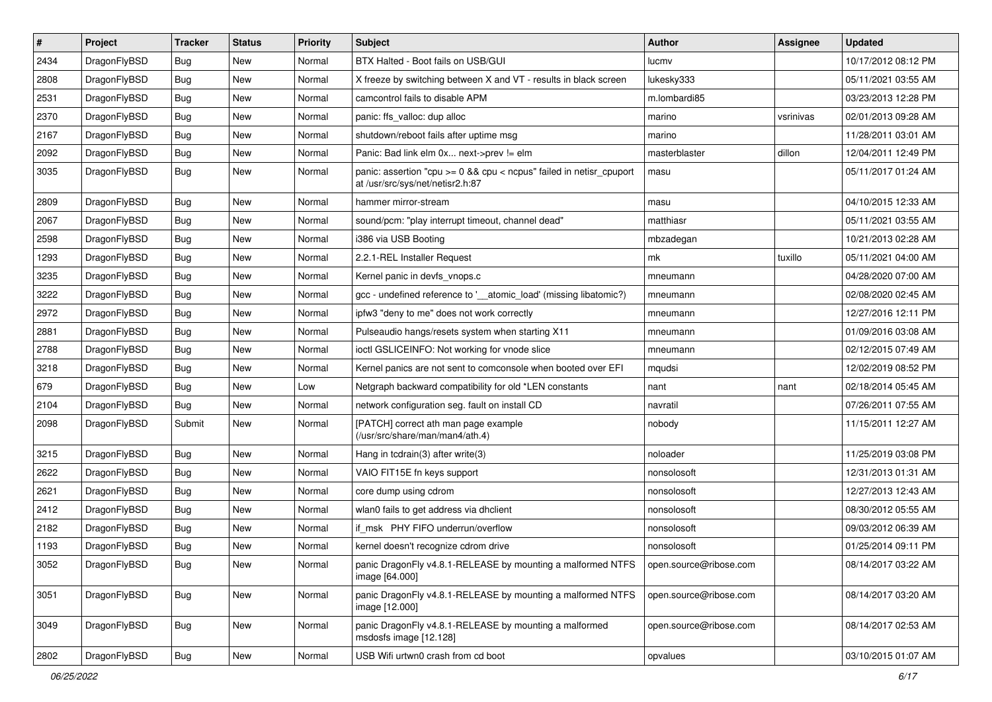| $\pmb{\#}$ | Project      | <b>Tracker</b> | <b>Status</b> | <b>Priority</b> | Subject                                                                                                 | <b>Author</b>          | Assignee  | <b>Updated</b>      |
|------------|--------------|----------------|---------------|-----------------|---------------------------------------------------------------------------------------------------------|------------------------|-----------|---------------------|
| 2434       | DragonFlyBSD | Bug            | <b>New</b>    | Normal          | BTX Halted - Boot fails on USB/GUI                                                                      | lucmv                  |           | 10/17/2012 08:12 PM |
| 2808       | DragonFlyBSD | Bug            | <b>New</b>    | Normal          | X freeze by switching between X and VT - results in black screen                                        | lukesky333             |           | 05/11/2021 03:55 AM |
| 2531       | DragonFlyBSD | Bug            | <b>New</b>    | Normal          | camcontrol fails to disable APM                                                                         | m.lombardi85           |           | 03/23/2013 12:28 PM |
| 2370       | DragonFlyBSD | Bug            | <b>New</b>    | Normal          | panic: ffs_valloc: dup alloc                                                                            | marino                 | vsrinivas | 02/01/2013 09:28 AM |
| 2167       | DragonFlyBSD | Bug            | <b>New</b>    | Normal          | shutdown/reboot fails after uptime msg                                                                  | marino                 |           | 11/28/2011 03:01 AM |
| 2092       | DragonFlyBSD | Bug            | New           | Normal          | Panic: Bad link elm 0x next->prev != elm                                                                | masterblaster          | dillon    | 12/04/2011 12:49 PM |
| 3035       | DragonFlyBSD | Bug            | <b>New</b>    | Normal          | panic: assertion "cpu >= 0 && cpu < ncpus" failed in netisr_cpuport<br>at /usr/src/sys/net/netisr2.h:87 | masu                   |           | 05/11/2017 01:24 AM |
| 2809       | DragonFlyBSD | Bug            | <b>New</b>    | Normal          | hammer mirror-stream                                                                                    | masu                   |           | 04/10/2015 12:33 AM |
| 2067       | DragonFlyBSD | Bug            | <b>New</b>    | Normal          | sound/pcm: "play interrupt timeout, channel dead"                                                       | matthiasr              |           | 05/11/2021 03:55 AM |
| 2598       | DragonFlyBSD | Bug            | <b>New</b>    | Normal          | i386 via USB Booting                                                                                    | mbzadegan              |           | 10/21/2013 02:28 AM |
| 1293       | DragonFlyBSD | Bug            | <b>New</b>    | Normal          | 2.2.1-REL Installer Request                                                                             | mk                     | tuxillo   | 05/11/2021 04:00 AM |
| 3235       | DragonFlyBSD | Bug            | <b>New</b>    | Normal          | Kernel panic in devfs vnops.c                                                                           | mneumann               |           | 04/28/2020 07:00 AM |
| 3222       | DragonFlyBSD | Bug            | <b>New</b>    | Normal          | gcc - undefined reference to '__atomic_load' (missing libatomic?)                                       | mneumann               |           | 02/08/2020 02:45 AM |
| 2972       | DragonFlyBSD | Bug            | <b>New</b>    | Normal          | ipfw3 "deny to me" does not work correctly                                                              | mneumann               |           | 12/27/2016 12:11 PM |
| 2881       | DragonFlyBSD | Bug            | New           | Normal          | Pulseaudio hangs/resets system when starting X11                                                        | mneumann               |           | 01/09/2016 03:08 AM |
| 2788       | DragonFlyBSD | Bug            | New           | Normal          | ioctl GSLICEINFO: Not working for vnode slice                                                           | mneumann               |           | 02/12/2015 07:49 AM |
| 3218       | DragonFlyBSD | Bug            | <b>New</b>    | Normal          | Kernel panics are not sent to comconsole when booted over EFI                                           | mqudsi                 |           | 12/02/2019 08:52 PM |
| 679        | DragonFlyBSD | Bug            | <b>New</b>    | Low             | Netgraph backward compatibility for old *LEN constants                                                  | nant                   | nant      | 02/18/2014 05:45 AM |
| 2104       | DragonFlyBSD | Bug            | <b>New</b>    | Normal          | network configuration seg. fault on install CD                                                          | navratil               |           | 07/26/2011 07:55 AM |
| 2098       | DragonFlyBSD | Submit         | <b>New</b>    | Normal          | [PATCH] correct ath man page example<br>(/usr/src/share/man/man4/ath.4)                                 | nobody                 |           | 11/15/2011 12:27 AM |
| 3215       | DragonFlyBSD | Bug            | <b>New</b>    | Normal          | Hang in tcdrain(3) after write(3)                                                                       | noloader               |           | 11/25/2019 03:08 PM |
| 2622       | DragonFlyBSD | Bug            | <b>New</b>    | Normal          | VAIO FIT15E fn keys support                                                                             | nonsolosoft            |           | 12/31/2013 01:31 AM |
| 2621       | DragonFlyBSD | Bug            | New           | Normal          | core dump using cdrom                                                                                   | nonsolosoft            |           | 12/27/2013 12:43 AM |
| 2412       | DragonFlyBSD | Bug            | <b>New</b>    | Normal          | wlan0 fails to get address via dhclient                                                                 | nonsolosoft            |           | 08/30/2012 05:55 AM |
| 2182       | DragonFlyBSD | Bug            | New           | Normal          | if msk PHY FIFO underrun/overflow                                                                       | nonsolosoft            |           | 09/03/2012 06:39 AM |
| 1193       | DragonFlyBSD | Bug            | <b>New</b>    | Normal          | kernel doesn't recognize cdrom drive                                                                    | nonsolosoft            |           | 01/25/2014 09:11 PM |
| 3052       | DragonFlyBSD | <b>Bug</b>     | <b>New</b>    | Normal          | panic DragonFly v4.8.1-RELEASE by mounting a malformed NTFS<br>image [64.000]                           | open.source@ribose.com |           | 08/14/2017 03:22 AM |
| 3051       | DragonFlyBSD | <b>Bug</b>     | New           | Normal          | panic DragonFly v4.8.1-RELEASE by mounting a malformed NTFS<br>image [12.000]                           | open.source@ribose.com |           | 08/14/2017 03:20 AM |
| 3049       | DragonFlyBSD | <b>Bug</b>     | New           | Normal          | panic DragonFly v4.8.1-RELEASE by mounting a malformed<br>msdosfs image [12.128]                        | open.source@ribose.com |           | 08/14/2017 02:53 AM |
| 2802       | DragonFlyBSD | Bug            | New           | Normal          | USB Wifi urtwn0 crash from cd boot                                                                      | opvalues               |           | 03/10/2015 01:07 AM |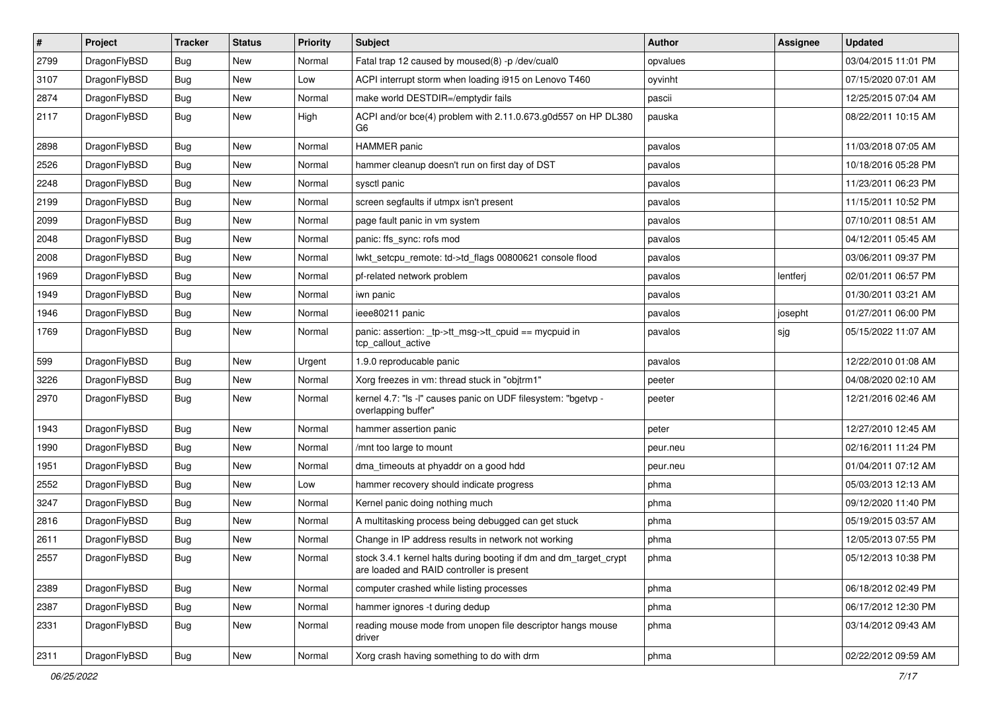| $\vert$ # | Project      | <b>Tracker</b> | <b>Status</b> | <b>Priority</b> | <b>Subject</b>                                                                                                 | Author   | <b>Assignee</b> | <b>Updated</b>      |
|-----------|--------------|----------------|---------------|-----------------|----------------------------------------------------------------------------------------------------------------|----------|-----------------|---------------------|
| 2799      | DragonFlyBSD | Bug            | <b>New</b>    | Normal          | Fatal trap 12 caused by moused(8) -p /dev/cual0                                                                | opvalues |                 | 03/04/2015 11:01 PM |
| 3107      | DragonFlyBSD | <b>Bug</b>     | <b>New</b>    | Low             | ACPI interrupt storm when loading i915 on Lenovo T460                                                          | oyvinht  |                 | 07/15/2020 07:01 AM |
| 2874      | DragonFlyBSD | Bug            | <b>New</b>    | Normal          | make world DESTDIR=/emptydir fails                                                                             | pascii   |                 | 12/25/2015 07:04 AM |
| 2117      | DragonFlyBSD | Bug            | New           | High            | ACPI and/or bce(4) problem with 2.11.0.673.g0d557 on HP DL380<br>G6                                            | pauska   |                 | 08/22/2011 10:15 AM |
| 2898      | DragonFlyBSD | <b>Bug</b>     | <b>New</b>    | Normal          | <b>HAMMER</b> panic                                                                                            | pavalos  |                 | 11/03/2018 07:05 AM |
| 2526      | DragonFlyBSD | <b>Bug</b>     | <b>New</b>    | Normal          | hammer cleanup doesn't run on first day of DST                                                                 | pavalos  |                 | 10/18/2016 05:28 PM |
| 2248      | DragonFlyBSD | Bug            | New           | Normal          | sysctl panic                                                                                                   | pavalos  |                 | 11/23/2011 06:23 PM |
| 2199      | DragonFlyBSD | Bug            | <b>New</b>    | Normal          | screen segfaults if utmpx isn't present                                                                        | pavalos  |                 | 11/15/2011 10:52 PM |
| 2099      | DragonFlyBSD | Bug            | New           | Normal          | page fault panic in vm system                                                                                  | pavalos  |                 | 07/10/2011 08:51 AM |
| 2048      | DragonFlyBSD | <b>Bug</b>     | <b>New</b>    | Normal          | panic: ffs_sync: rofs mod                                                                                      | pavalos  |                 | 04/12/2011 05:45 AM |
| 2008      | DragonFlyBSD | Bug            | <b>New</b>    | Normal          | lwkt_setcpu_remote: td->td_flags 00800621 console flood                                                        | pavalos  |                 | 03/06/2011 09:37 PM |
| 1969      | DragonFlyBSD | <b>Bug</b>     | <b>New</b>    | Normal          | pf-related network problem                                                                                     | pavalos  | lentferj        | 02/01/2011 06:57 PM |
| 1949      | DragonFlyBSD | Bug            | New           | Normal          | iwn panic                                                                                                      | pavalos  |                 | 01/30/2011 03:21 AM |
| 1946      | DragonFlyBSD | Bug            | <b>New</b>    | Normal          | ieee80211 panic                                                                                                | pavalos  | josepht         | 01/27/2011 06:00 PM |
| 1769      | DragonFlyBSD | Bug            | New           | Normal          | panic: assertion: _tp->tt_msg->tt_cpuid == mycpuid in<br>tcp_callout_active                                    | pavalos  | sjg             | 05/15/2022 11:07 AM |
| 599       | DragonFlyBSD | Bug            | <b>New</b>    | Urgent          | 1.9.0 reproducable panic                                                                                       | pavalos  |                 | 12/22/2010 01:08 AM |
| 3226      | DragonFlyBSD | Bug            | <b>New</b>    | Normal          | Xorg freezes in vm: thread stuck in "objtrm1"                                                                  | peeter   |                 | 04/08/2020 02:10 AM |
| 2970      | DragonFlyBSD | Bug            | New           | Normal          | kernel 4.7: "Is -I" causes panic on UDF filesystem: "bgetvp -<br>overlapping buffer"                           | peeter   |                 | 12/21/2016 02:46 AM |
| 1943      | DragonFlyBSD | Bug            | <b>New</b>    | Normal          | hammer assertion panic                                                                                         | peter    |                 | 12/27/2010 12:45 AM |
| 1990      | DragonFlyBSD | Bug            | <b>New</b>    | Normal          | /mnt too large to mount                                                                                        | peur.neu |                 | 02/16/2011 11:24 PM |
| 1951      | DragonFlyBSD | Bug            | New           | Normal          | dma_timeouts at phyaddr on a good hdd                                                                          | peur.neu |                 | 01/04/2011 07:12 AM |
| 2552      | DragonFlyBSD | Bug            | <b>New</b>    | Low             | hammer recovery should indicate progress                                                                       | phma     |                 | 05/03/2013 12:13 AM |
| 3247      | DragonFlyBSD | Bug            | <b>New</b>    | Normal          | Kernel panic doing nothing much                                                                                | phma     |                 | 09/12/2020 11:40 PM |
| 2816      | DragonFlyBSD | <b>Bug</b>     | New           | Normal          | A multitasking process being debugged can get stuck                                                            | phma     |                 | 05/19/2015 03:57 AM |
| 2611      | DragonFlyBSD | Bug            | <b>New</b>    | Normal          | Change in IP address results in network not working                                                            | phma     |                 | 12/05/2013 07:55 PM |
| 2557      | DragonFlyBSD | <b>Bug</b>     | New           | Normal          | stock 3.4.1 kernel halts during booting if dm and dm_target_crypt<br>are loaded and RAID controller is present | phma     |                 | 05/12/2013 10:38 PM |
| 2389      | DragonFlyBSD | <b>Bug</b>     | New           | Normal          | computer crashed while listing processes                                                                       | phma     |                 | 06/18/2012 02:49 PM |
| 2387      | DragonFlyBSD | <b>Bug</b>     | New           | Normal          | hammer ignores -t during dedup                                                                                 | phma     |                 | 06/17/2012 12:30 PM |
| 2331      | DragonFlyBSD | <b>Bug</b>     | New           | Normal          | reading mouse mode from unopen file descriptor hangs mouse<br>driver                                           | phma     |                 | 03/14/2012 09:43 AM |
| 2311      | DragonFlyBSD | Bug            | New           | Normal          | Xorg crash having something to do with drm                                                                     | phma     |                 | 02/22/2012 09:59 AM |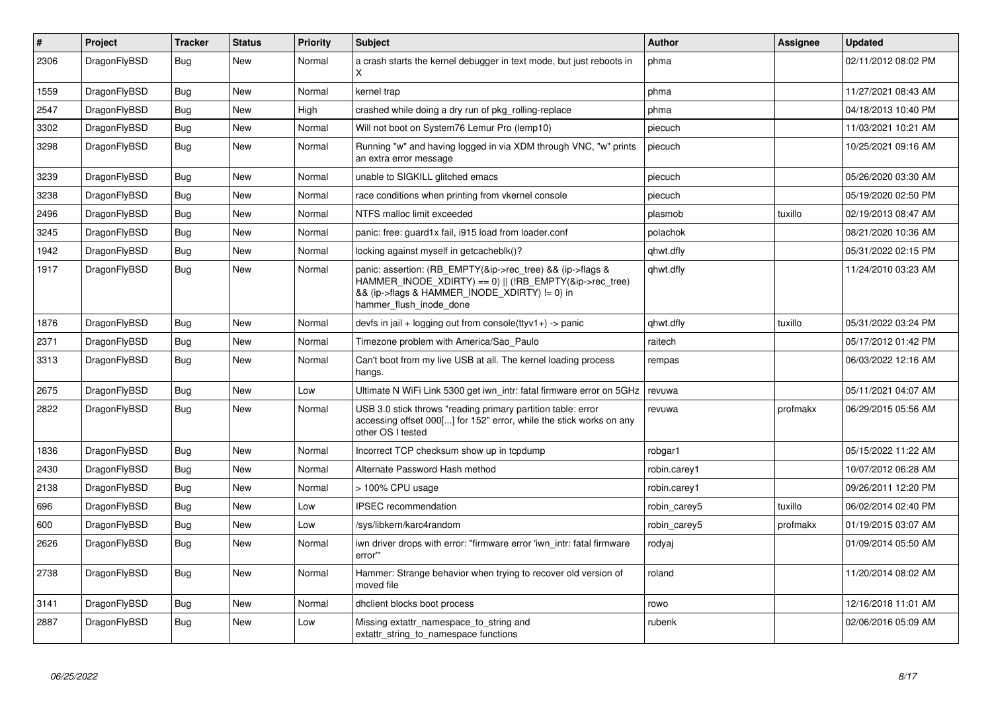| #    | Project      | Tracker    | <b>Status</b> | <b>Priority</b> | <b>Subject</b>                                                                                                                                                                                    | <b>Author</b> | Assignee | <b>Updated</b>      |
|------|--------------|------------|---------------|-----------------|---------------------------------------------------------------------------------------------------------------------------------------------------------------------------------------------------|---------------|----------|---------------------|
| 2306 | DragonFlyBSD | Bug        | <b>New</b>    | Normal          | a crash starts the kernel debugger in text mode, but just reboots in                                                                                                                              | phma          |          | 02/11/2012 08:02 PM |
| 1559 | DragonFlyBSD | <b>Bug</b> | <b>New</b>    | Normal          | kernel trap                                                                                                                                                                                       | phma          |          | 11/27/2021 08:43 AM |
| 2547 | DragonFlyBSD | Bug        | <b>New</b>    | High            | crashed while doing a dry run of pkg rolling-replace                                                                                                                                              | phma          |          | 04/18/2013 10:40 PM |
| 3302 | DragonFlyBSD | <b>Bug</b> | <b>New</b>    | Normal          | Will not boot on System76 Lemur Pro (lemp10)                                                                                                                                                      | piecuch       |          | 11/03/2021 10:21 AM |
| 3298 | DragonFlyBSD | <b>Bug</b> | New           | Normal          | Running "w" and having logged in via XDM through VNC, "w" prints<br>an extra error message                                                                                                        | piecuch       |          | 10/25/2021 09:16 AM |
| 3239 | DragonFlyBSD | <b>Bug</b> | <b>New</b>    | Normal          | unable to SIGKILL glitched emacs                                                                                                                                                                  | piecuch       |          | 05/26/2020 03:30 AM |
| 3238 | DragonFlyBSD | Bug        | <b>New</b>    | Normal          | race conditions when printing from vkernel console                                                                                                                                                | piecuch       |          | 05/19/2020 02:50 PM |
| 2496 | DragonFlyBSD | <b>Bug</b> | <b>New</b>    | Normal          | NTFS malloc limit exceeded                                                                                                                                                                        | plasmob       | tuxillo  | 02/19/2013 08:47 AM |
| 3245 | DragonFlyBSD | <b>Bug</b> | <b>New</b>    | Normal          | panic: free: guard1x fail, i915 load from loader.conf                                                                                                                                             | polachok      |          | 08/21/2020 10:36 AM |
| 1942 | DragonFlyBSD | <b>Bug</b> | <b>New</b>    | Normal          | locking against myself in getcacheblk()?                                                                                                                                                          | qhwt.dfly     |          | 05/31/2022 02:15 PM |
| 1917 | DragonFlyBSD | Bug        | New           | Normal          | panic: assertion: (RB_EMPTY(&ip->rec_tree) && (ip->flags &<br>HAMMER_INODE_XDIRTY) == 0)    (!RB_EMPTY(&ip->rec_tree)<br>&& (ip->flags & HAMMER_INODE_XDIRTY) != 0) in<br>hammer flush inode done | qhwt.dfly     |          | 11/24/2010 03:23 AM |
| 1876 | DragonFlyBSD | Bug        | <b>New</b>    | Normal          | devfs in jail + logging out from console(ttyv1+) -> panic                                                                                                                                         | qhwt.dfly     | tuxillo  | 05/31/2022 03:24 PM |
| 2371 | DragonFlyBSD | Bug        | <b>New</b>    | Normal          | Timezone problem with America/Sao Paulo                                                                                                                                                           | raitech       |          | 05/17/2012 01:42 PM |
| 3313 | DragonFlyBSD | <b>Bug</b> | New           | Normal          | Can't boot from my live USB at all. The kernel loading process<br>hangs.                                                                                                                          | rempas        |          | 06/03/2022 12:16 AM |
| 2675 | DragonFlyBSD | <b>Bug</b> | <b>New</b>    | Low             | Ultimate N WiFi Link 5300 get iwn_intr: fatal firmware error on 5GHz                                                                                                                              | revuwa        |          | 05/11/2021 04:07 AM |
| 2822 | DragonFlyBSD | <b>Bug</b> | <b>New</b>    | Normal          | USB 3.0 stick throws "reading primary partition table: error<br>accessing offset 000[] for 152" error, while the stick works on any<br>other OS I tested                                          | revuwa        | profmakx | 06/29/2015 05:56 AM |
| 1836 | DragonFlyBSD | <b>Bug</b> | <b>New</b>    | Normal          | Incorrect TCP checksum show up in tcpdump                                                                                                                                                         | robgar1       |          | 05/15/2022 11:22 AM |
| 2430 | DragonFlyBSD | <b>Bug</b> | New           | Normal          | Alternate Password Hash method                                                                                                                                                                    | robin.carey1  |          | 10/07/2012 06:28 AM |
| 2138 | DragonFlyBSD | <b>Bug</b> | <b>New</b>    | Normal          | > 100% CPU usage                                                                                                                                                                                  | robin.carey1  |          | 09/26/2011 12:20 PM |
| 696  | DragonFlyBSD | <b>Bug</b> | New           | Low             | <b>IPSEC</b> recommendation                                                                                                                                                                       | robin carey5  | tuxillo  | 06/02/2014 02:40 PM |
| 600  | DragonFlyBSD | <b>Bug</b> | <b>New</b>    | Low             | /sys/libkern/karc4random                                                                                                                                                                          | robin carey5  | profmakx | 01/19/2015 03:07 AM |
| 2626 | DragonFlyBSD | Bug        | <b>New</b>    | Normal          | iwn driver drops with error: "firmware error 'iwn_intr: fatal firmware<br>error"                                                                                                                  | rodyaj        |          | 01/09/2014 05:50 AM |
| 2738 | DragonFlyBSD | <b>Bug</b> | <b>New</b>    | Normal          | Hammer: Strange behavior when trying to recover old version of<br>moved file                                                                                                                      | roland        |          | 11/20/2014 08:02 AM |
| 3141 | DragonFlyBSD | <b>Bug</b> | <b>New</b>    | Normal          | dhclient blocks boot process                                                                                                                                                                      | rowo          |          | 12/16/2018 11:01 AM |
| 2887 | DragonFlyBSD | <b>Bug</b> | New           | Low             | Missing extattr namespace to string and<br>extattr string to namespace functions                                                                                                                  | rubenk        |          | 02/06/2016 05:09 AM |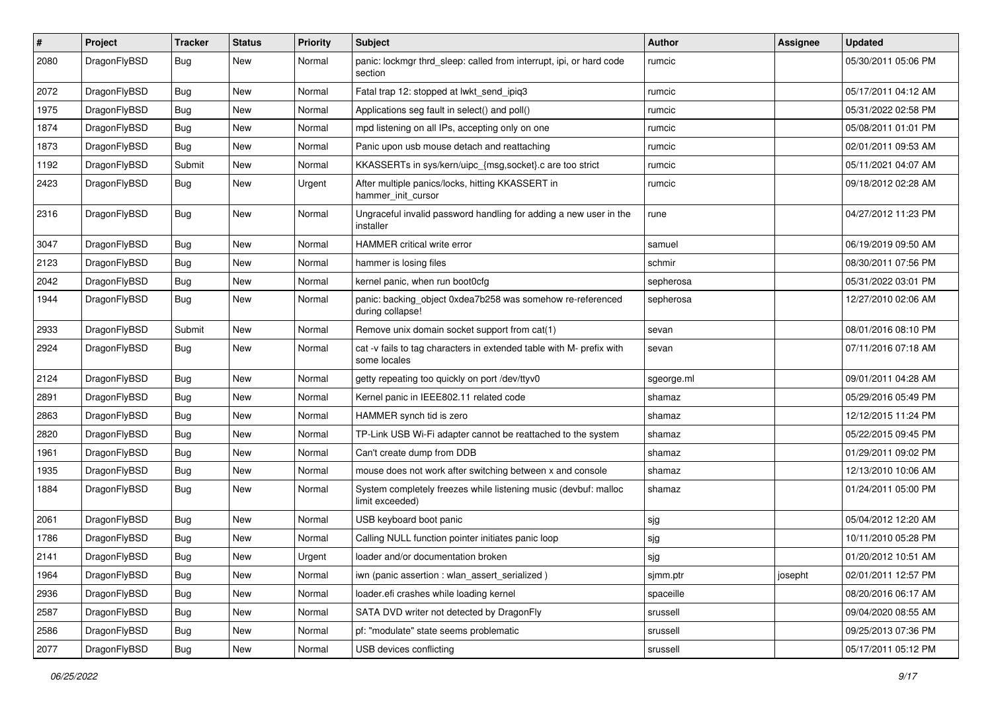| $\vert$ # | Project      | <b>Tracker</b> | <b>Status</b> | <b>Priority</b> | <b>Subject</b>                                                                       | Author     | <b>Assignee</b> | <b>Updated</b>      |
|-----------|--------------|----------------|---------------|-----------------|--------------------------------------------------------------------------------------|------------|-----------------|---------------------|
| 2080      | DragonFlyBSD | Bug            | New           | Normal          | panic: lockmgr thrd_sleep: called from interrupt, ipi, or hard code<br>section       | rumcic     |                 | 05/30/2011 05:06 PM |
| 2072      | DragonFlyBSD | Bug            | <b>New</b>    | Normal          | Fatal trap 12: stopped at lwkt send ipig3                                            | rumcic     |                 | 05/17/2011 04:12 AM |
| 1975      | DragonFlyBSD | Bug            | New           | Normal          | Applications seg fault in select() and poll()                                        | rumcic     |                 | 05/31/2022 02:58 PM |
| 1874      | DragonFlyBSD | <b>Bug</b>     | <b>New</b>    | Normal          | mpd listening on all IPs, accepting only on one                                      | rumcic     |                 | 05/08/2011 01:01 PM |
| 1873      | DragonFlyBSD | <b>Bug</b>     | New           | Normal          | Panic upon usb mouse detach and reattaching                                          | rumcic     |                 | 02/01/2011 09:53 AM |
| 1192      | DragonFlyBSD | Submit         | <b>New</b>    | Normal          | KKASSERTs in sys/kern/uipc_{msg,socket}.c are too strict                             | rumcic     |                 | 05/11/2021 04:07 AM |
| 2423      | DragonFlyBSD | Bug            | New           | Urgent          | After multiple panics/locks, hitting KKASSERT in<br>hammer_init_cursor               | rumcic     |                 | 09/18/2012 02:28 AM |
| 2316      | DragonFlyBSD | <b>Bug</b>     | New           | Normal          | Ungraceful invalid password handling for adding a new user in the<br>installer       | rune       |                 | 04/27/2012 11:23 PM |
| 3047      | DragonFlyBSD | Bug            | <b>New</b>    | Normal          | HAMMER critical write error                                                          | samuel     |                 | 06/19/2019 09:50 AM |
| 2123      | DragonFlyBSD | Bug            | <b>New</b>    | Normal          | hammer is losing files                                                               | schmir     |                 | 08/30/2011 07:56 PM |
| 2042      | DragonFlyBSD | Bug            | New           | Normal          | kernel panic, when run boot0cfg                                                      | sepherosa  |                 | 05/31/2022 03:01 PM |
| 1944      | DragonFlyBSD | Bug            | New           | Normal          | panic: backing_object 0xdea7b258 was somehow re-referenced<br>during collapse!       | sepherosa  |                 | 12/27/2010 02:06 AM |
| 2933      | DragonFlyBSD | Submit         | New           | Normal          | Remove unix domain socket support from cat(1)                                        | sevan      |                 | 08/01/2016 08:10 PM |
| 2924      | DragonFlyBSD | Bug            | New           | Normal          | cat -v fails to tag characters in extended table with M- prefix with<br>some locales | sevan      |                 | 07/11/2016 07:18 AM |
| 2124      | DragonFlyBSD | Bug            | <b>New</b>    | Normal          | getty repeating too quickly on port /dev/ttyv0                                       | sgeorge.ml |                 | 09/01/2011 04:28 AM |
| 2891      | DragonFlyBSD | <b>Bug</b>     | New           | Normal          | Kernel panic in IEEE802.11 related code                                              | shamaz     |                 | 05/29/2016 05:49 PM |
| 2863      | DragonFlyBSD | <b>Bug</b>     | New           | Normal          | HAMMER synch tid is zero                                                             | shamaz     |                 | 12/12/2015 11:24 PM |
| 2820      | DragonFlyBSD | Bug            | <b>New</b>    | Normal          | TP-Link USB Wi-Fi adapter cannot be reattached to the system                         | shamaz     |                 | 05/22/2015 09:45 PM |
| 1961      | DragonFlyBSD | Bug            | New           | Normal          | Can't create dump from DDB                                                           | shamaz     |                 | 01/29/2011 09:02 PM |
| 1935      | DragonFlyBSD | Bug            | New           | Normal          | mouse does not work after switching between x and console                            | shamaz     |                 | 12/13/2010 10:06 AM |
| 1884      | DragonFlyBSD | Bug            | New           | Normal          | System completely freezes while listening music (devbuf: malloc<br>limit exceeded)   | shamaz     |                 | 01/24/2011 05:00 PM |
| 2061      | DragonFlyBSD | <b>Bug</b>     | <b>New</b>    | Normal          | USB keyboard boot panic                                                              | sjg        |                 | 05/04/2012 12:20 AM |
| 1786      | DragonFlyBSD | <b>Bug</b>     | New           | Normal          | Calling NULL function pointer initiates panic loop                                   | sjg        |                 | 10/11/2010 05:28 PM |
| 2141      | DragonFlyBSD | Bug            | New           | Urgent          | loader and/or documentation broken                                                   | sjg        |                 | 01/20/2012 10:51 AM |
| 1964      | DragonFlyBSD | Bug            | New           | Normal          | iwn (panic assertion : wlan assert serialized)                                       | sjmm.ptr   | josepht         | 02/01/2011 12:57 PM |
| 2936      | DragonFlyBSD | Bug            | New           | Normal          | loader.efi crashes while loading kernel                                              | spaceille  |                 | 08/20/2016 06:17 AM |
| 2587      | DragonFlyBSD | <b>Bug</b>     | New           | Normal          | SATA DVD writer not detected by DragonFly                                            | srussell   |                 | 09/04/2020 08:55 AM |
| 2586      | DragonFlyBSD | Bug            | New           | Normal          | pf: "modulate" state seems problematic                                               | srussell   |                 | 09/25/2013 07:36 PM |
| 2077      | DragonFlyBSD | Bug            | New           | Normal          | USB devices conflicting                                                              | srussell   |                 | 05/17/2011 05:12 PM |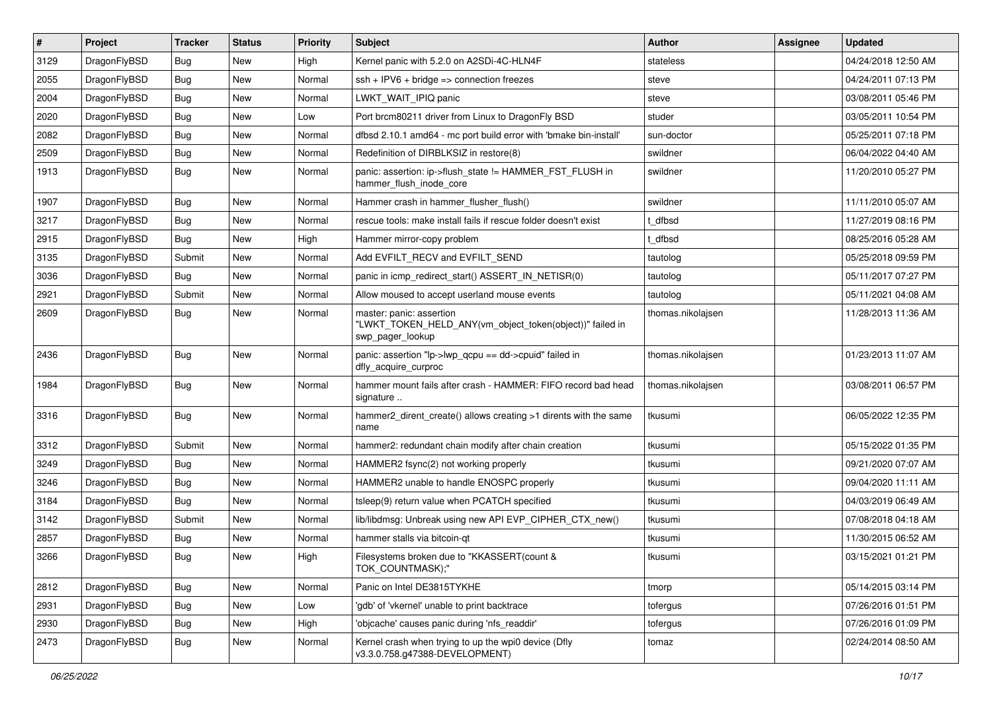| $\sharp$ | Project      | <b>Tracker</b> | <b>Status</b> | <b>Priority</b> | Subject                                                                                                  | <b>Author</b>     | Assignee | <b>Updated</b>      |
|----------|--------------|----------------|---------------|-----------------|----------------------------------------------------------------------------------------------------------|-------------------|----------|---------------------|
| 3129     | DragonFlyBSD | Bug            | <b>New</b>    | High            | Kernel panic with 5.2.0 on A2SDi-4C-HLN4F                                                                | stateless         |          | 04/24/2018 12:50 AM |
| 2055     | DragonFlyBSD | Bug            | <b>New</b>    | Normal          | $ssh + IPV6 + bridge \Rightarrow connection freezes$                                                     | steve             |          | 04/24/2011 07:13 PM |
| 2004     | DragonFlyBSD | Bug            | New           | Normal          | LWKT WAIT IPIQ panic                                                                                     | steve             |          | 03/08/2011 05:46 PM |
| 2020     | DragonFlyBSD | Bug            | <b>New</b>    | Low             | Port brcm80211 driver from Linux to DragonFly BSD                                                        | studer            |          | 03/05/2011 10:54 PM |
| 2082     | DragonFlyBSD | Bug            | <b>New</b>    | Normal          | dfbsd 2.10.1 amd64 - mc port build error with 'bmake bin-install'                                        | sun-doctor        |          | 05/25/2011 07:18 PM |
| 2509     | DragonFlyBSD | Bug            | <b>New</b>    | Normal          | Redefinition of DIRBLKSIZ in restore(8)                                                                  | swildner          |          | 06/04/2022 04:40 AM |
| 1913     | DragonFlyBSD | Bug            | New           | Normal          | panic: assertion: ip->flush_state != HAMMER_FST_FLUSH in<br>hammer_flush_inode_core                      | swildner          |          | 11/20/2010 05:27 PM |
| 1907     | DragonFlyBSD | Bug            | <b>New</b>    | Normal          | Hammer crash in hammer_flusher_flush()                                                                   | swildner          |          | 11/11/2010 05:07 AM |
| 3217     | DragonFlyBSD | Bug            | <b>New</b>    | Normal          | rescue tools: make install fails if rescue folder doesn't exist                                          | t dfbsd           |          | 11/27/2019 08:16 PM |
| 2915     | DragonFlyBSD | Bug            | New           | High            | Hammer mirror-copy problem                                                                               | : dfbsd           |          | 08/25/2016 05:28 AM |
| 3135     | DragonFlyBSD | Submit         | <b>New</b>    | Normal          | Add EVFILT_RECV and EVFILT_SEND                                                                          | tautolog          |          | 05/25/2018 09:59 PM |
| 3036     | DragonFlyBSD | Bug            | New           | Normal          | panic in icmp redirect start() ASSERT IN NETISR(0)                                                       | tautolog          |          | 05/11/2017 07:27 PM |
| 2921     | DragonFlyBSD | Submit         | <b>New</b>    | Normal          | Allow moused to accept userland mouse events                                                             | tautolog          |          | 05/11/2021 04:08 AM |
| 2609     | DragonFlyBSD | Bug            | New           | Normal          | master: panic: assertion<br>"LWKT TOKEN HELD ANY(vm object token(object))" failed in<br>swp_pager_lookup | thomas.nikolaisen |          | 11/28/2013 11:36 AM |
| 2436     | DragonFlyBSD | <b>Bug</b>     | <b>New</b>    | Normal          | panic: assertion "lp->lwp_qcpu == dd->cpuid" failed in<br>dfly_acquire_curproc                           | thomas.nikolajsen |          | 01/23/2013 11:07 AM |
| 1984     | DragonFlyBSD | Bug            | New           | Normal          | hammer mount fails after crash - HAMMER: FIFO record bad head<br>signature                               | thomas.nikolajsen |          | 03/08/2011 06:57 PM |
| 3316     | DragonFlyBSD | Bug            | <b>New</b>    | Normal          | hammer2 dirent create() allows creating >1 dirents with the same<br>name                                 | tkusumi           |          | 06/05/2022 12:35 PM |
| 3312     | DragonFlyBSD | Submit         | New           | Normal          | hammer2: redundant chain modify after chain creation                                                     | tkusumi           |          | 05/15/2022 01:35 PM |
| 3249     | DragonFlyBSD | <b>Bug</b>     | New           | Normal          | HAMMER2 fsync(2) not working properly                                                                    | tkusumi           |          | 09/21/2020 07:07 AM |
| 3246     | DragonFlyBSD | Bug            | <b>New</b>    | Normal          | HAMMER2 unable to handle ENOSPC properly                                                                 | tkusumi           |          | 09/04/2020 11:11 AM |
| 3184     | DragonFlyBSD | Bug            | New           | Normal          | tsleep(9) return value when PCATCH specified                                                             | tkusumi           |          | 04/03/2019 06:49 AM |
| 3142     | DragonFlyBSD | Submit         | <b>New</b>    | Normal          | lib/libdmsg: Unbreak using new API EVP_CIPHER_CTX_new()                                                  | tkusumi           |          | 07/08/2018 04:18 AM |
| 2857     | DragonFlyBSD | Bug            | New           | Normal          | hammer stalls via bitcoin-qt                                                                             | tkusumi           |          | 11/30/2015 06:52 AM |
| 3266     | DragonFlyBSD | Bug            | New           | High            | Filesystems broken due to "KKASSERT(count &<br>TOK_COUNTMASK);"                                          | tkusumi           |          | 03/15/2021 01:21 PM |
| 2812     | DragonFlyBSD | <b>Bug</b>     | New           | Normal          | Panic on Intel DE3815TYKHE                                                                               | tmorp             |          | 05/14/2015 03:14 PM |
| 2931     | DragonFlyBSD | Bug            | New           | Low             | 'gdb' of 'vkernel' unable to print backtrace                                                             | tofergus          |          | 07/26/2016 01:51 PM |
| 2930     | DragonFlyBSD | <b>Bug</b>     | <b>New</b>    | High            | 'objcache' causes panic during 'nfs_readdir'                                                             | tofergus          |          | 07/26/2016 01:09 PM |
| 2473     | DragonFlyBSD | <b>Bug</b>     | New           | Normal          | Kernel crash when trying to up the wpi0 device (Dfly<br>v3.3.0.758.g47388-DEVELOPMENT)                   | tomaz             |          | 02/24/2014 08:50 AM |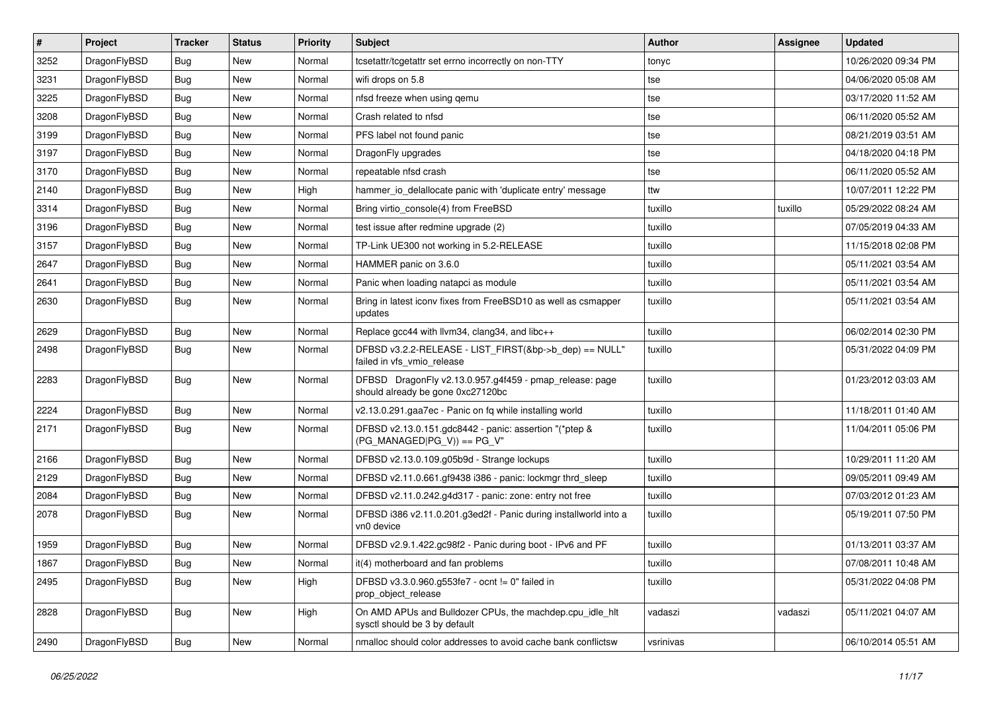| $\pmb{\#}$ | Project      | <b>Tracker</b> | <b>Status</b> | <b>Priority</b> | Subject                                                                                      | <b>Author</b> | <b>Assignee</b> | <b>Updated</b>      |
|------------|--------------|----------------|---------------|-----------------|----------------------------------------------------------------------------------------------|---------------|-----------------|---------------------|
| 3252       | DragonFlyBSD | Bug            | <b>New</b>    | Normal          | tcsetattr/tcgetattr set errno incorrectly on non-TTY                                         | tonyc         |                 | 10/26/2020 09:34 PM |
| 3231       | DragonFlyBSD | Bug            | New           | Normal          | wifi drops on 5.8                                                                            | tse           |                 | 04/06/2020 05:08 AM |
| 3225       | DragonFlyBSD | Bug            | New           | Normal          | nfsd freeze when using qemu                                                                  | tse           |                 | 03/17/2020 11:52 AM |
| 3208       | DragonFlyBSD | Bug            | New           | Normal          | Crash related to nfsd                                                                        | tse           |                 | 06/11/2020 05:52 AM |
| 3199       | DragonFlyBSD | Bug            | <b>New</b>    | Normal          | PFS label not found panic                                                                    | tse           |                 | 08/21/2019 03:51 AM |
| 3197       | DragonFlyBSD | Bug            | <b>New</b>    | Normal          | DragonFly upgrades                                                                           | tse           |                 | 04/18/2020 04:18 PM |
| 3170       | DragonFlyBSD | Bug            | New           | Normal          | repeatable nfsd crash                                                                        | tse           |                 | 06/11/2020 05:52 AM |
| 2140       | DragonFlyBSD | Bug            | New           | High            | hammer_io_delallocate panic with 'duplicate entry' message                                   | ttw           |                 | 10/07/2011 12:22 PM |
| 3314       | DragonFlyBSD | Bug            | <b>New</b>    | Normal          | Bring virtio console(4) from FreeBSD                                                         | tuxillo       | tuxillo         | 05/29/2022 08:24 AM |
| 3196       | DragonFlyBSD | Bug            | <b>New</b>    | Normal          | test issue after redmine upgrade (2)                                                         | tuxillo       |                 | 07/05/2019 04:33 AM |
| 3157       | DragonFlyBSD | Bug            | New           | Normal          | TP-Link UE300 not working in 5.2-RELEASE                                                     | tuxillo       |                 | 11/15/2018 02:08 PM |
| 2647       | DragonFlyBSD | Bug            | New           | Normal          | HAMMER panic on 3.6.0                                                                        | tuxillo       |                 | 05/11/2021 03:54 AM |
| 2641       | DragonFlyBSD | Bug            | New           | Normal          | Panic when loading natapci as module                                                         | tuxillo       |                 | 05/11/2021 03:54 AM |
| 2630       | DragonFlyBSD | Bug            | New           | Normal          | Bring in latest iconv fixes from FreeBSD10 as well as csmapper<br>updates                    | tuxillo       |                 | 05/11/2021 03:54 AM |
| 2629       | DragonFlyBSD | Bug            | <b>New</b>    | Normal          | Replace gcc44 with llvm34, clang34, and libc++                                               | tuxillo       |                 | 06/02/2014 02:30 PM |
| 2498       | DragonFlyBSD | Bug            | <b>New</b>    | Normal          | DFBSD v3.2.2-RELEASE - LIST FIRST(&bp->b dep) == NULL"<br>failed in vfs_vmio_release         | tuxillo       |                 | 05/31/2022 04:09 PM |
| 2283       | DragonFlyBSD | Bug            | New           | Normal          | DFBSD DragonFly v2.13.0.957.g4f459 - pmap_release: page<br>should already be gone 0xc27120bc | tuxillo       |                 | 01/23/2012 03:03 AM |
| 2224       | DragonFlyBSD | Bug            | <b>New</b>    | Normal          | v2.13.0.291.gaa7ec - Panic on fq while installing world                                      | tuxillo       |                 | 11/18/2011 01:40 AM |
| 2171       | DragonFlyBSD | Bug            | <b>New</b>    | Normal          | DFBSD v2.13.0.151.gdc8442 - panic: assertion "(*ptep &<br>$(PG_MANAGED PG_V)) == PG_V"$      | tuxillo       |                 | 11/04/2011 05:06 PM |
| 2166       | DragonFlyBSD | Bug            | New           | Normal          | DFBSD v2.13.0.109.g05b9d - Strange lockups                                                   | tuxillo       |                 | 10/29/2011 11:20 AM |
| 2129       | DragonFlyBSD | Bug            | <b>New</b>    | Normal          | DFBSD v2.11.0.661.gf9438 i386 - panic: lockmgr thrd_sleep                                    | tuxillo       |                 | 09/05/2011 09:49 AM |
| 2084       | DragonFlyBSD | Bug            | <b>New</b>    | Normal          | DFBSD v2.11.0.242.g4d317 - panic: zone: entry not free                                       | tuxillo       |                 | 07/03/2012 01:23 AM |
| 2078       | DragonFlyBSD | <b>Bug</b>     | New           | Normal          | DFBSD i386 v2.11.0.201.g3ed2f - Panic during installworld into a<br>vn0 device               | tuxillo       |                 | 05/19/2011 07:50 PM |
| 1959       | DragonFlyBSD | Bug            | <b>New</b>    | Normal          | DFBSD v2.9.1.422.gc98f2 - Panic during boot - IPv6 and PF                                    | tuxillo       |                 | 01/13/2011 03:37 AM |
| 1867       | DragonFlyBSD | <b>Bug</b>     | New           | Normal          | it(4) motherboard and fan problems                                                           | tuxillo       |                 | 07/08/2011 10:48 AM |
| 2495       | DragonFlyBSD | <b>Bug</b>     | New           | High            | DFBSD v3.3.0.960.g553fe7 - ocnt != 0" failed in<br>prop object release                       | tuxillo       |                 | 05/31/2022 04:08 PM |
| 2828       | DragonFlyBSD | <b>Bug</b>     | New           | High            | On AMD APUs and Bulldozer CPUs, the machdep.cpu_idle_hlt<br>sysctl should be 3 by default    | vadaszi       | vadaszi         | 05/11/2021 04:07 AM |
| 2490       | DragonFlyBSD | Bug            | New           | Normal          | nmalloc should color addresses to avoid cache bank conflictsw                                | vsrinivas     |                 | 06/10/2014 05:51 AM |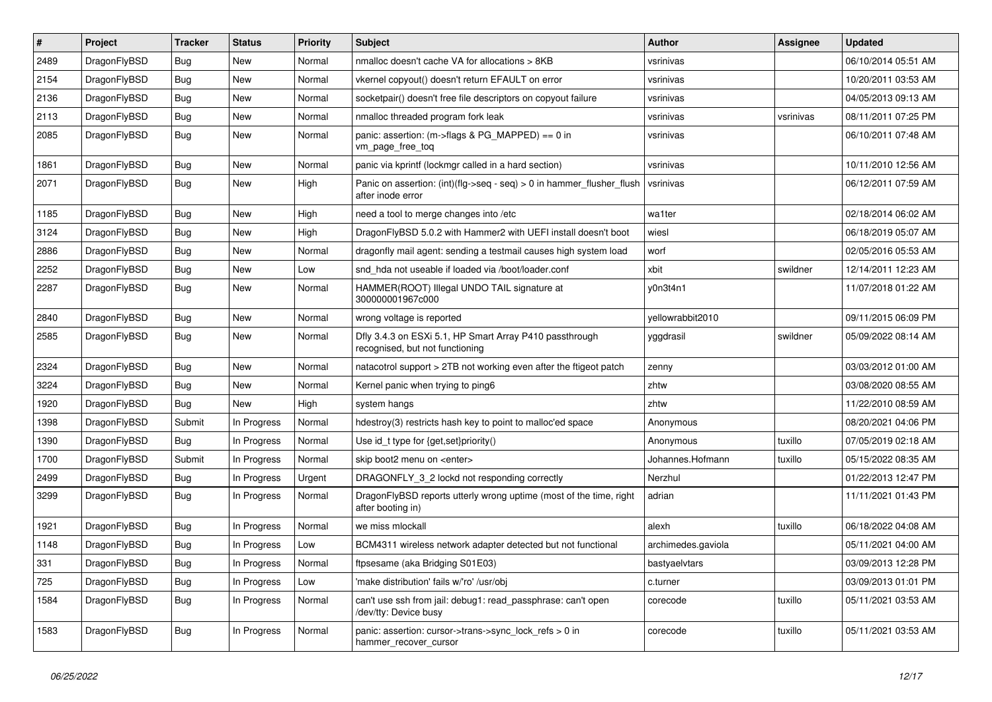| ∦    | Project      | <b>Tracker</b> | <b>Status</b> | <b>Priority</b> | <b>Subject</b>                                                                             | <b>Author</b>      | <b>Assignee</b> | <b>Updated</b>      |
|------|--------------|----------------|---------------|-----------------|--------------------------------------------------------------------------------------------|--------------------|-----------------|---------------------|
| 2489 | DragonFlyBSD | Bug            | <b>New</b>    | Normal          | nmalloc doesn't cache VA for allocations > 8KB                                             | vsrinivas          |                 | 06/10/2014 05:51 AM |
| 2154 | DragonFlyBSD | <b>Bug</b>     | <b>New</b>    | Normal          | vkernel copyout() doesn't return EFAULT on error                                           | vsrinivas          |                 | 10/20/2011 03:53 AM |
| 2136 | DragonFlyBSD | <b>Bug</b>     | <b>New</b>    | Normal          | socketpair() doesn't free file descriptors on copyout failure                              | vsrinivas          |                 | 04/05/2013 09:13 AM |
| 2113 | DragonFlyBSD | Bug            | <b>New</b>    | Normal          | nmalloc threaded program fork leak                                                         | vsrinivas          | vsrinivas       | 08/11/2011 07:25 PM |
| 2085 | DragonFlyBSD | Bug            | <b>New</b>    | Normal          | panic: assertion: (m->flags & PG_MAPPED) == 0 in<br>vm_page_free_toq                       | vsrinivas          |                 | 06/10/2011 07:48 AM |
| 1861 | DragonFlyBSD | Bug            | <b>New</b>    | Normal          | panic via kprintf (lockmgr called in a hard section)                                       | vsrinivas          |                 | 10/11/2010 12:56 AM |
| 2071 | DragonFlyBSD | Bug            | New           | High            | Panic on assertion: (int)(flg->seq - seq) > 0 in hammer_flusher_flush<br>after inode error | vsrinivas          |                 | 06/12/2011 07:59 AM |
| 1185 | DragonFlyBSD | Bug            | <b>New</b>    | High            | need a tool to merge changes into /etc                                                     | wa1ter             |                 | 02/18/2014 06:02 AM |
| 3124 | DragonFlyBSD | Bug            | <b>New</b>    | High            | DragonFlyBSD 5.0.2 with Hammer2 with UEFI install doesn't boot                             | wiesl              |                 | 06/18/2019 05:07 AM |
| 2886 | DragonFlyBSD | Bug            | <b>New</b>    | Normal          | dragonfly mail agent: sending a testmail causes high system load                           | worf               |                 | 02/05/2016 05:53 AM |
| 2252 | DragonFlyBSD | Bug            | <b>New</b>    | Low             | snd_hda not useable if loaded via /boot/loader.conf                                        | xbit               | swildner        | 12/14/2011 12:23 AM |
| 2287 | DragonFlyBSD | Bug            | <b>New</b>    | Normal          | HAMMER(ROOT) Illegal UNDO TAIL signature at<br>300000001967c000                            | y0n3t4n1           |                 | 11/07/2018 01:22 AM |
| 2840 | DragonFlyBSD | Bug            | <b>New</b>    | Normal          | wrong voltage is reported                                                                  | yellowrabbit2010   |                 | 09/11/2015 06:09 PM |
| 2585 | DragonFlyBSD | Bug            | <b>New</b>    | Normal          | Dfly 3.4.3 on ESXi 5.1, HP Smart Array P410 passthrough<br>recognised, but not functioning | yggdrasil          | swildner        | 05/09/2022 08:14 AM |
| 2324 | DragonFlyBSD | Bug            | <b>New</b>    | Normal          | natacotrol support > 2TB not working even after the ftigeot patch                          | zenny              |                 | 03/03/2012 01:00 AM |
| 3224 | DragonFlyBSD | Bug            | <b>New</b>    | Normal          | Kernel panic when trying to ping6                                                          | zhtw               |                 | 03/08/2020 08:55 AM |
| 1920 | DragonFlyBSD | Bug            | <b>New</b>    | High            | system hangs                                                                               | zhtw               |                 | 11/22/2010 08:59 AM |
| 1398 | DragonFlyBSD | Submit         | In Progress   | Normal          | hdestroy(3) restricts hash key to point to malloc'ed space                                 | Anonymous          |                 | 08/20/2021 04:06 PM |
| 1390 | DragonFlyBSD | Bug            | In Progress   | Normal          | Use id_t type for {get,set}priority()                                                      | Anonymous          | tuxillo         | 07/05/2019 02:18 AM |
| 1700 | DragonFlyBSD | Submit         | In Progress   | Normal          | skip boot2 menu on <enter></enter>                                                         | Johannes.Hofmann   | tuxillo         | 05/15/2022 08:35 AM |
| 2499 | DragonFlyBSD | Bug            | In Progress   | Urgent          | DRAGONFLY 3 2 lockd not responding correctly                                               | Nerzhul            |                 | 01/22/2013 12:47 PM |
| 3299 | DragonFlyBSD | Bug            | In Progress   | Normal          | DragonFlyBSD reports utterly wrong uptime (most of the time, right<br>after booting in)    | adrian             |                 | 11/11/2021 01:43 PM |
| 1921 | DragonFlyBSD | Bug            | In Progress   | Normal          | we miss mlockall                                                                           | alexh              | tuxillo         | 06/18/2022 04:08 AM |
| 1148 | DragonFlyBSD | <b>Bug</b>     | In Progress   | Low             | BCM4311 wireless network adapter detected but not functional                               | archimedes.gaviola |                 | 05/11/2021 04:00 AM |
| 331  | DragonFlyBSD | Bug            | In Progress   | Normal          | ftpsesame (aka Bridging S01E03)                                                            | bastyaelvtars      |                 | 03/09/2013 12:28 PM |
| 725  | DragonFlyBSD | <b>Bug</b>     | In Progress   | Low             | 'make distribution' fails w/'ro' /usr/obj                                                  | c.turner           |                 | 03/09/2013 01:01 PM |
| 1584 | DragonFlyBSD | <b>Bug</b>     | In Progress   | Normal          | can't use ssh from jail: debug1: read_passphrase: can't open<br>/dev/tty: Device busy      | corecode           | tuxillo         | 05/11/2021 03:53 AM |
| 1583 | DragonFlyBSD | <b>Bug</b>     | In Progress   | Normal          | panic: assertion: cursor->trans->sync_lock_refs > 0 in<br>hammer_recover_cursor            | corecode           | tuxillo         | 05/11/2021 03:53 AM |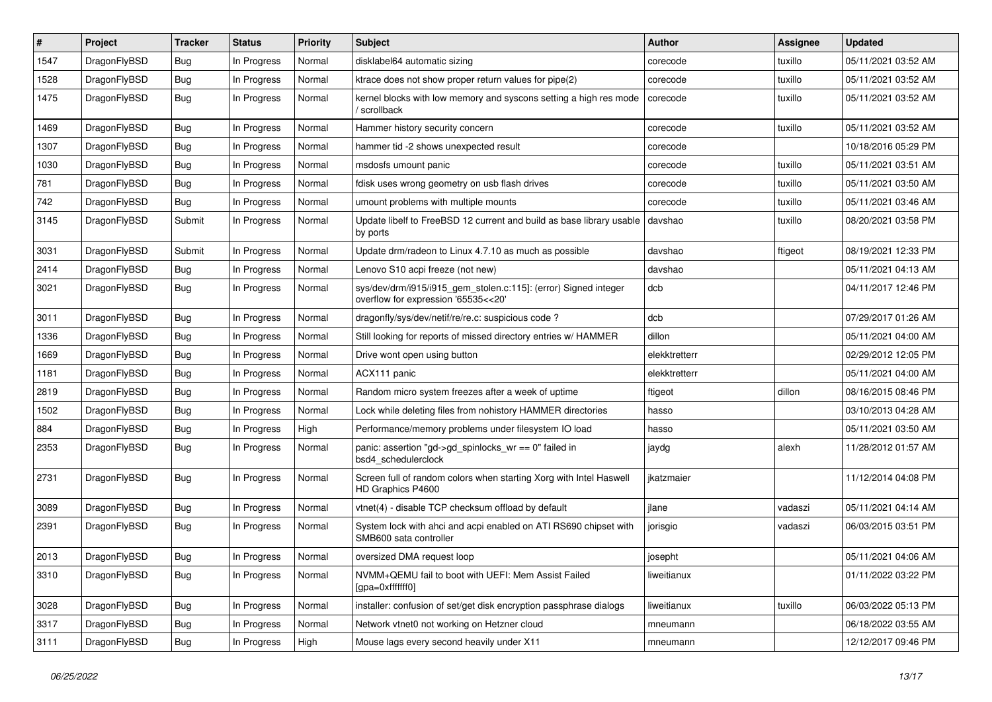| #    | Project      | <b>Tracker</b> | <b>Status</b> | <b>Priority</b> | Subject                                                                                                | <b>Author</b> | <b>Assignee</b> | <b>Updated</b>      |
|------|--------------|----------------|---------------|-----------------|--------------------------------------------------------------------------------------------------------|---------------|-----------------|---------------------|
| 1547 | DragonFlyBSD | <b>Bug</b>     | In Progress   | Normal          | disklabel64 automatic sizing                                                                           | corecode      | tuxillo         | 05/11/2021 03:52 AM |
| 1528 | DragonFlyBSD | Bug            | In Progress   | Normal          | ktrace does not show proper return values for pipe(2)                                                  | corecode      | tuxillo         | 05/11/2021 03:52 AM |
| 1475 | DragonFlyBSD | <b>Bug</b>     | In Progress   | Normal          | kernel blocks with low memory and syscons setting a high res mode<br>/ scrollback                      | corecode      | tuxillo         | 05/11/2021 03:52 AM |
| 1469 | DragonFlyBSD | Bug            | In Progress   | Normal          | Hammer history security concern                                                                        | corecode      | tuxillo         | 05/11/2021 03:52 AM |
| 1307 | DragonFlyBSD | <b>Bug</b>     | In Progress   | Normal          | hammer tid -2 shows unexpected result                                                                  | corecode      |                 | 10/18/2016 05:29 PM |
| 1030 | DragonFlyBSD | <b>Bug</b>     | In Progress   | Normal          | msdosfs umount panic                                                                                   | corecode      | tuxillo         | 05/11/2021 03:51 AM |
| 781  | DragonFlyBSD | <b>Bug</b>     | In Progress   | Normal          | fdisk uses wrong geometry on usb flash drives                                                          | corecode      | tuxillo         | 05/11/2021 03:50 AM |
| 742  | DragonFlyBSD | <b>Bug</b>     | In Progress   | Normal          | umount problems with multiple mounts                                                                   | corecode      | tuxillo         | 05/11/2021 03:46 AM |
| 3145 | DragonFlyBSD | Submit         | In Progress   | Normal          | Update libelf to FreeBSD 12 current and build as base library usable<br>by ports                       | davshao       | tuxillo         | 08/20/2021 03:58 PM |
| 3031 | DragonFlyBSD | Submit         | In Progress   | Normal          | Update drm/radeon to Linux 4.7.10 as much as possible                                                  | davshao       | ftigeot         | 08/19/2021 12:33 PM |
| 2414 | DragonFlyBSD | <b>Bug</b>     | In Progress   | Normal          | Lenovo S10 acpi freeze (not new)                                                                       | davshao       |                 | 05/11/2021 04:13 AM |
| 3021 | DragonFlyBSD | <b>Bug</b>     | In Progress   | Normal          | sys/dev/drm/i915/i915_gem_stolen.c:115]: (error) Signed integer<br>overflow for expression '65535<<20' | dcb           |                 | 04/11/2017 12:46 PM |
| 3011 | DragonFlyBSD | Bug            | In Progress   | Normal          | dragonfly/sys/dev/netif/re/re.c: suspicious code?                                                      | dcb           |                 | 07/29/2017 01:26 AM |
| 1336 | DragonFlyBSD | <b>Bug</b>     | In Progress   | Normal          | Still looking for reports of missed directory entries w/ HAMMER                                        | dillon        |                 | 05/11/2021 04:00 AM |
| 1669 | DragonFlyBSD | Bug            | In Progress   | Normal          | Drive wont open using button                                                                           | elekktretterr |                 | 02/29/2012 12:05 PM |
| 1181 | DragonFlyBSD | <b>Bug</b>     | In Progress   | Normal          | ACX111 panic                                                                                           | elekktretterr |                 | 05/11/2021 04:00 AM |
| 2819 | DragonFlyBSD | <b>Bug</b>     | In Progress   | Normal          | Random micro system freezes after a week of uptime                                                     | ftigeot       | dillon          | 08/16/2015 08:46 PM |
| 1502 | DragonFlyBSD | <b>Bug</b>     | In Progress   | Normal          | Lock while deleting files from nohistory HAMMER directories                                            | hasso         |                 | 03/10/2013 04:28 AM |
| 884  | DragonFlyBSD | <b>Bug</b>     | In Progress   | High            | Performance/memory problems under filesystem IO load                                                   | hasso         |                 | 05/11/2021 03:50 AM |
| 2353 | DragonFlyBSD | <b>Bug</b>     | In Progress   | Normal          | panic: assertion "gd->gd_spinlocks_wr == 0" failed in<br>bsd4_schedulerclock                           | jaydg         | alexh           | 11/28/2012 01:57 AM |
| 2731 | DragonFlyBSD | Bug            | In Progress   | Normal          | Screen full of random colors when starting Xorg with Intel Haswell<br>HD Graphics P4600                | jkatzmaier    |                 | 11/12/2014 04:08 PM |
| 3089 | DragonFlyBSD | <b>Bug</b>     | In Progress   | Normal          | vtnet(4) - disable TCP checksum offload by default                                                     | jlane         | vadaszi         | 05/11/2021 04:14 AM |
| 2391 | DragonFlyBSD | Bug            | In Progress   | Normal          | System lock with ahci and acpi enabled on ATI RS690 chipset with<br>SMB600 sata controller             | jorisgio      | vadaszi         | 06/03/2015 03:51 PM |
| 2013 | DragonFlyBSD | Bug            | In Progress   | Normal          | oversized DMA request loop                                                                             | josepht       |                 | 05/11/2021 04:06 AM |
| 3310 | DragonFlyBSD | <b>Bug</b>     | In Progress   | Normal          | NVMM+QEMU fail to boot with UEFI: Mem Assist Failed<br>[qpa=0xfffffff0]                                | liweitianux   |                 | 01/11/2022 03:22 PM |
| 3028 | DragonFlyBSD | <b>Bug</b>     | In Progress   | Normal          | installer: confusion of set/get disk encryption passphrase dialogs                                     | liweitianux   | tuxillo         | 06/03/2022 05:13 PM |
| 3317 | DragonFlyBSD | <b>Bug</b>     | In Progress   | Normal          | Network vtnet0 not working on Hetzner cloud                                                            | mneumann      |                 | 06/18/2022 03:55 AM |
| 3111 | DragonFlyBSD | <b>Bug</b>     | In Progress   | High            | Mouse lags every second heavily under X11                                                              | mneumann      |                 | 12/12/2017 09:46 PM |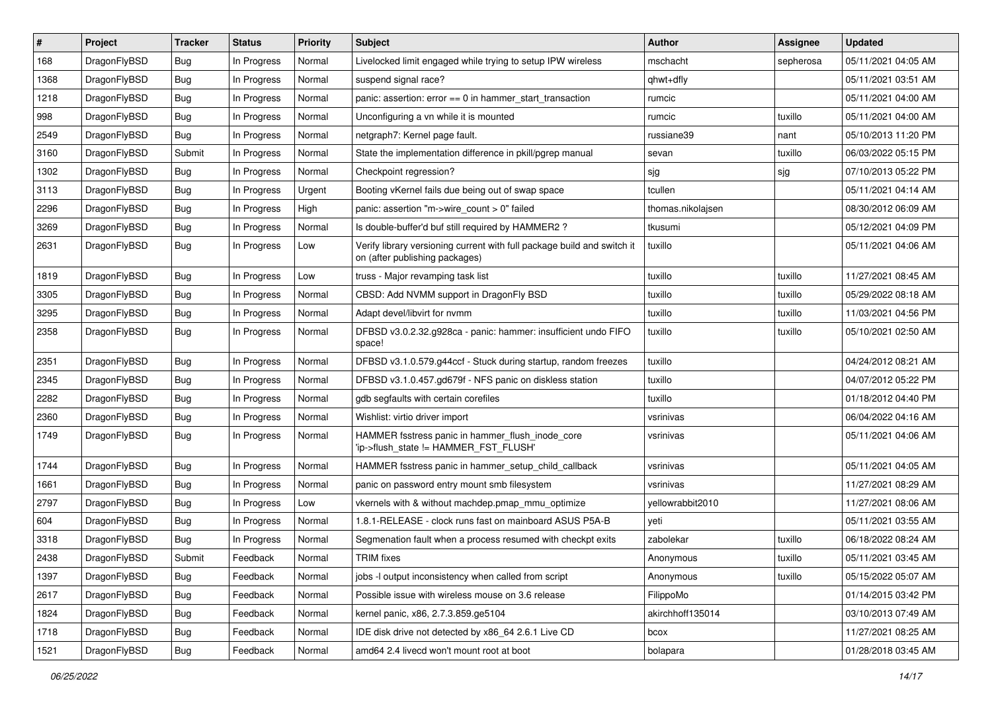| $\#$ | Project      | <b>Tracker</b> | <b>Status</b> | <b>Priority</b> | Subject                                                                                                   | <b>Author</b>     | Assignee  | <b>Updated</b>      |
|------|--------------|----------------|---------------|-----------------|-----------------------------------------------------------------------------------------------------------|-------------------|-----------|---------------------|
| 168  | DragonFlyBSD | Bug            | In Progress   | Normal          | Livelocked limit engaged while trying to setup IPW wireless                                               | mschacht          | sepherosa | 05/11/2021 04:05 AM |
| 1368 | DragonFlyBSD | <b>Bug</b>     | In Progress   | Normal          | suspend signal race?                                                                                      | qhwt+dfly         |           | 05/11/2021 03:51 AM |
| 1218 | DragonFlyBSD | <b>Bug</b>     | In Progress   | Normal          | panic: assertion: $error == 0$ in hammer start transaction                                                | rumcic            |           | 05/11/2021 04:00 AM |
| 998  | DragonFlyBSD | <b>Bug</b>     | In Progress   | Normal          | Unconfiguring a vn while it is mounted                                                                    | rumcic            | tuxillo   | 05/11/2021 04:00 AM |
| 2549 | DragonFlyBSD | Bug            | In Progress   | Normal          | netgraph7: Kernel page fault.                                                                             | russiane39        | nant      | 05/10/2013 11:20 PM |
| 3160 | DragonFlyBSD | Submit         | In Progress   | Normal          | State the implementation difference in pkill/pgrep manual                                                 | sevan             | tuxillo   | 06/03/2022 05:15 PM |
| 1302 | DragonFlyBSD | Bug            | In Progress   | Normal          | Checkpoint regression?                                                                                    | sjg               | sjg       | 07/10/2013 05:22 PM |
| 3113 | DragonFlyBSD | <b>Bug</b>     | In Progress   | Urgent          | Booting vKernel fails due being out of swap space                                                         | tcullen           |           | 05/11/2021 04:14 AM |
| 2296 | DragonFlyBSD | <b>Bug</b>     | In Progress   | High            | panic: assertion "m->wire count > 0" failed                                                               | thomas.nikolajsen |           | 08/30/2012 06:09 AM |
| 3269 | DragonFlyBSD | Bug            | In Progress   | Normal          | Is double-buffer'd buf still required by HAMMER2 ?                                                        | tkusumi           |           | 05/12/2021 04:09 PM |
| 2631 | DragonFlyBSD | <b>Bug</b>     | In Progress   | Low             | Verify library versioning current with full package build and switch it<br>on (after publishing packages) | tuxillo           |           | 05/11/2021 04:06 AM |
| 1819 | DragonFlyBSD | Bug            | In Progress   | Low             | truss - Major revamping task list                                                                         | tuxillo           | tuxillo   | 11/27/2021 08:45 AM |
| 3305 | DragonFlyBSD | <b>Bug</b>     | In Progress   | Normal          | CBSD: Add NVMM support in DragonFly BSD                                                                   | tuxillo           | tuxillo   | 05/29/2022 08:18 AM |
| 3295 | DragonFlyBSD | <b>Bug</b>     | In Progress   | Normal          | Adapt devel/libvirt for nvmm                                                                              | tuxillo           | tuxillo   | 11/03/2021 04:56 PM |
| 2358 | DragonFlyBSD | Bug            | In Progress   | Normal          | DFBSD v3.0.2.32.g928ca - panic: hammer: insufficient undo FIFO<br>space!                                  | tuxillo           | tuxillo   | 05/10/2021 02:50 AM |
| 2351 | DragonFlyBSD | Bug            | In Progress   | Normal          | DFBSD v3.1.0.579.g44ccf - Stuck during startup, random freezes                                            | tuxillo           |           | 04/24/2012 08:21 AM |
| 2345 | DragonFlyBSD | <b>Bug</b>     | In Progress   | Normal          | DFBSD v3.1.0.457.gd679f - NFS panic on diskless station                                                   | tuxillo           |           | 04/07/2012 05:22 PM |
| 2282 | DragonFlyBSD | <b>Bug</b>     | In Progress   | Normal          | gdb segfaults with certain corefiles                                                                      | tuxillo           |           | 01/18/2012 04:40 PM |
| 2360 | DragonFlyBSD | <b>Bug</b>     | In Progress   | Normal          | Wishlist: virtio driver import                                                                            | vsrinivas         |           | 06/04/2022 04:16 AM |
| 1749 | DragonFlyBSD | <b>Bug</b>     | In Progress   | Normal          | HAMMER fsstress panic in hammer_flush_inode_core<br>'ip->flush_state != HAMMER_FST_FLUSH'                 | vsrinivas         |           | 05/11/2021 04:06 AM |
| 1744 | DragonFlyBSD | <b>Bug</b>     | In Progress   | Normal          | HAMMER fsstress panic in hammer setup child callback                                                      | vsrinivas         |           | 05/11/2021 04:05 AM |
| 1661 | DragonFlyBSD | <b>Bug</b>     | In Progress   | Normal          | panic on password entry mount smb filesystem                                                              | vsrinivas         |           | 11/27/2021 08:29 AM |
| 2797 | DragonFlyBSD | <b>Bug</b>     | In Progress   | Low             | vkernels with & without machdep.pmap_mmu_optimize                                                         | yellowrabbit2010  |           | 11/27/2021 08:06 AM |
| 604  | DragonFlyBSD | Bug            | In Progress   | Normal          | 1.8.1-RELEASE - clock runs fast on mainboard ASUS P5A-B                                                   | yeti              |           | 05/11/2021 03:55 AM |
| 3318 | DragonFlyBSD | <b>Bug</b>     | In Progress   | Normal          | Segmenation fault when a process resumed with checkpt exits                                               | zabolekar         | tuxillo   | 06/18/2022 08:24 AM |
| 2438 | DragonFlyBSD | Submit         | Feedback      | Normal          | <b>TRIM</b> fixes                                                                                         | Anonymous         | tuxillo   | 05/11/2021 03:45 AM |
| 1397 | DragonFlyBSD | Bug            | Feedback      | Normal          | jobs -I output inconsistency when called from script                                                      | Anonymous         | tuxillo   | 05/15/2022 05:07 AM |
| 2617 | DragonFlyBSD | <b>Bug</b>     | Feedback      | Normal          | Possible issue with wireless mouse on 3.6 release                                                         | FilippoMo         |           | 01/14/2015 03:42 PM |
| 1824 | DragonFlyBSD | <b>Bug</b>     | Feedback      | Normal          | kernel panic, x86, 2.7.3.859.ge5104                                                                       | akirchhoff135014  |           | 03/10/2013 07:49 AM |
| 1718 | DragonFlyBSD | <b>Bug</b>     | Feedback      | Normal          | IDE disk drive not detected by x86 64 2.6.1 Live CD                                                       | bcox              |           | 11/27/2021 08:25 AM |
| 1521 | DragonFlyBSD | <b>Bug</b>     | Feedback      | Normal          | amd64 2.4 livecd won't mount root at boot                                                                 | bolapara          |           | 01/28/2018 03:45 AM |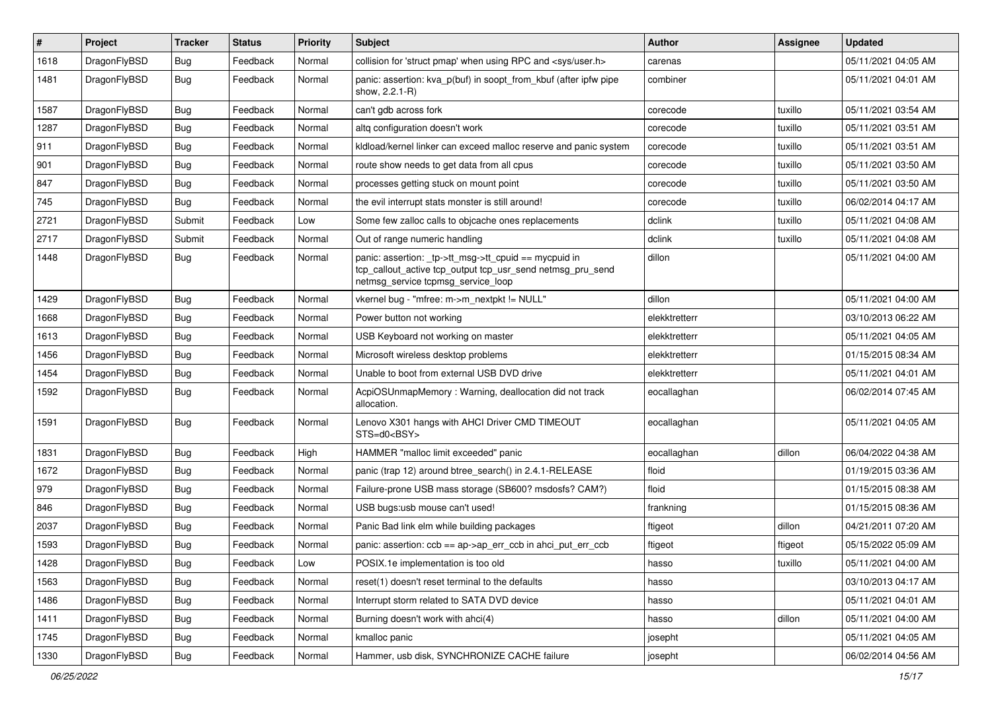| #    | Project      | <b>Tracker</b> | <b>Status</b> | Priority | Subject                                                                                                                                                   | <b>Author</b> | <b>Assignee</b> | <b>Updated</b>      |
|------|--------------|----------------|---------------|----------|-----------------------------------------------------------------------------------------------------------------------------------------------------------|---------------|-----------------|---------------------|
| 1618 | DragonFlyBSD | Bug            | Feedback      | Normal   | collision for 'struct pmap' when using RPC and <sys user.h=""></sys>                                                                                      | carenas       |                 | 05/11/2021 04:05 AM |
| 1481 | DragonFlyBSD | Bug            | Feedback      | Normal   | panic: assertion: kva_p(buf) in soopt_from_kbuf (after ipfw pipe<br>show, 2.2.1-R)                                                                        | combiner      |                 | 05/11/2021 04:01 AM |
| 1587 | DragonFlyBSD | <b>Bug</b>     | Feedback      | Normal   | can't gdb across fork                                                                                                                                     | corecode      | tuxillo         | 05/11/2021 03:54 AM |
| 1287 | DragonFlyBSD | Bug            | Feedback      | Normal   | altg configuration doesn't work                                                                                                                           | corecode      | tuxillo         | 05/11/2021 03:51 AM |
| 911  | DragonFlyBSD | <b>Bug</b>     | Feedback      | Normal   | kldload/kernel linker can exceed malloc reserve and panic system                                                                                          | corecode      | tuxillo         | 05/11/2021 03:51 AM |
| 901  | DragonFlyBSD | <b>Bug</b>     | Feedback      | Normal   | route show needs to get data from all cpus                                                                                                                | corecode      | tuxillo         | 05/11/2021 03:50 AM |
| 847  | DragonFlyBSD | <b>Bug</b>     | Feedback      | Normal   | processes getting stuck on mount point                                                                                                                    | corecode      | tuxillo         | 05/11/2021 03:50 AM |
| 745  | DragonFlyBSD | <b>Bug</b>     | Feedback      | Normal   | the evil interrupt stats monster is still around!                                                                                                         | corecode      | tuxillo         | 06/02/2014 04:17 AM |
| 2721 | DragonFlyBSD | Submit         | Feedback      | Low      | Some few zalloc calls to objcache ones replacements                                                                                                       | dclink        | tuxillo         | 05/11/2021 04:08 AM |
| 2717 | DragonFlyBSD | Submit         | Feedback      | Normal   | Out of range numeric handling                                                                                                                             | dclink        | tuxillo         | 05/11/2021 04:08 AM |
| 1448 | DragonFlyBSD | Bug            | Feedback      | Normal   | panic: assertion: _tp->tt_msg->tt_cpuid == mycpuid in<br>tcp_callout_active tcp_output tcp_usr_send netmsg_pru_send<br>netmsg service tcpmsg service loop | dillon        |                 | 05/11/2021 04:00 AM |
| 1429 | DragonFlyBSD | Bug            | Feedback      | Normal   | vkernel bug - "mfree: m->m_nextpkt != NULL"                                                                                                               | dillon        |                 | 05/11/2021 04:00 AM |
| 1668 | DragonFlyBSD | <b>Bug</b>     | Feedback      | Normal   | Power button not working                                                                                                                                  | elekktretterr |                 | 03/10/2013 06:22 AM |
| 1613 | DragonFlyBSD | <b>Bug</b>     | Feedback      | Normal   | USB Keyboard not working on master                                                                                                                        | elekktretterr |                 | 05/11/2021 04:05 AM |
| 1456 | DragonFlyBSD | Bug            | Feedback      | Normal   | Microsoft wireless desktop problems                                                                                                                       | elekktretterr |                 | 01/15/2015 08:34 AM |
| 1454 | DragonFlyBSD | <b>Bug</b>     | Feedback      | Normal   | Unable to boot from external USB DVD drive                                                                                                                | elekktretterr |                 | 05/11/2021 04:01 AM |
| 1592 | DragonFlyBSD | <b>Bug</b>     | Feedback      | Normal   | AcpiOSUnmapMemory: Warning, deallocation did not track<br>allocation.                                                                                     | eocallaghan   |                 | 06/02/2014 07:45 AM |
| 1591 | DragonFlyBSD | Bug            | Feedback      | Normal   | Lenovo X301 hangs with AHCI Driver CMD TIMEOUT<br>STS=d0 <bsy></bsy>                                                                                      | eocallaghan   |                 | 05/11/2021 04:05 AM |
| 1831 | DragonFlyBSD | Bug            | Feedback      | High     | HAMMER "malloc limit exceeded" panic                                                                                                                      | eocallaghan   | dillon          | 06/04/2022 04:38 AM |
| 1672 | DragonFlyBSD | <b>Bug</b>     | Feedback      | Normal   | panic (trap 12) around btree_search() in 2.4.1-RELEASE                                                                                                    | floid         |                 | 01/19/2015 03:36 AM |
| 979  | DragonFlyBSD | Bug            | Feedback      | Normal   | Failure-prone USB mass storage (SB600? msdosfs? CAM?)                                                                                                     | floid         |                 | 01/15/2015 08:38 AM |
| 846  | DragonFlyBSD | <b>Bug</b>     | Feedback      | Normal   | USB bugs:usb mouse can't used!                                                                                                                            | frankning     |                 | 01/15/2015 08:36 AM |
| 2037 | DragonFlyBSD | <b>Bug</b>     | Feedback      | Normal   | Panic Bad link elm while building packages                                                                                                                | ftigeot       | dillon          | 04/21/2011 07:20 AM |
| 1593 | DragonFlyBSD | Bug            | Feedback      | Normal   | panic: assertion: ccb == ap->ap_err_ccb in ahci_put_err_ccb                                                                                               | ftigeot       | ftigeot         | 05/15/2022 05:09 AM |
| 1428 | DragonFlyBSD | Bug            | Feedback      | Low      | POSIX.1e implementation is too old                                                                                                                        | hasso         | tuxillo         | 05/11/2021 04:00 AM |
| 1563 | DragonFlyBSD | Bug            | Feedback      | Normal   | reset(1) doesn't reset terminal to the defaults                                                                                                           | hasso         |                 | 03/10/2013 04:17 AM |
| 1486 | DragonFlyBSD | <b>Bug</b>     | Feedback      | Normal   | Interrupt storm related to SATA DVD device                                                                                                                | hasso         |                 | 05/11/2021 04:01 AM |
| 1411 | DragonFlyBSD | <b>Bug</b>     | Feedback      | Normal   | Burning doesn't work with ahci(4)                                                                                                                         | hasso         | dillon          | 05/11/2021 04:00 AM |
| 1745 | DragonFlyBSD | <b>Bug</b>     | Feedback      | Normal   | kmalloc panic                                                                                                                                             | josepht       |                 | 05/11/2021 04:05 AM |
| 1330 | DragonFlyBSD | <b>Bug</b>     | Feedback      | Normal   | Hammer, usb disk, SYNCHRONIZE CACHE failure                                                                                                               | josepht       |                 | 06/02/2014 04:56 AM |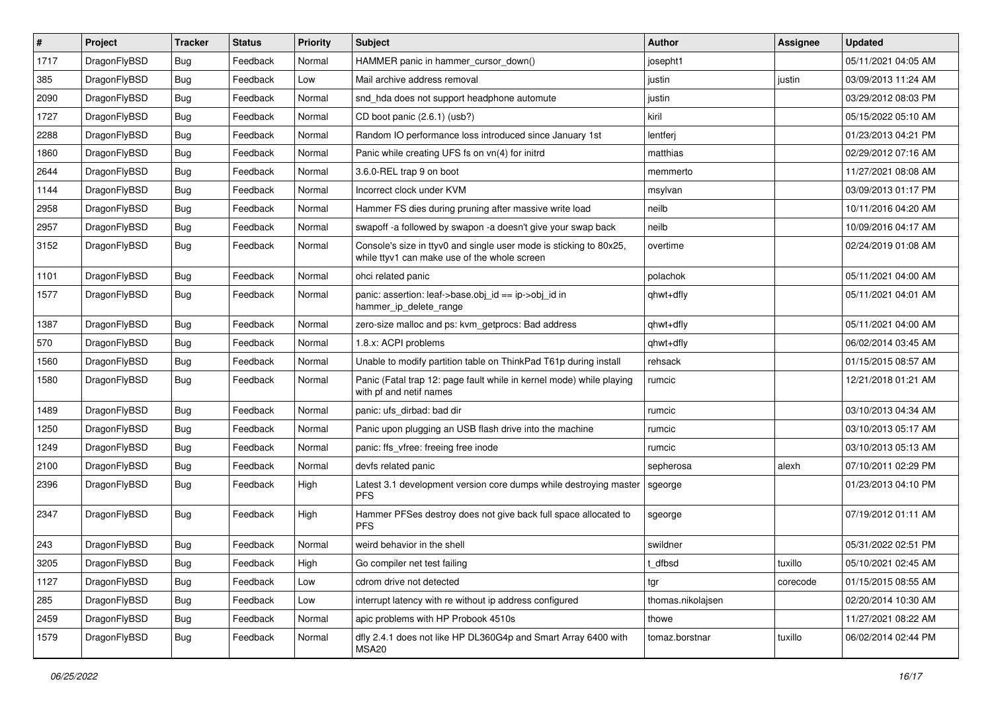| $\sharp$ | Project      | <b>Tracker</b> | <b>Status</b> | <b>Priority</b> | Subject                                                                                                            | <b>Author</b>     | Assignee | <b>Updated</b>      |
|----------|--------------|----------------|---------------|-----------------|--------------------------------------------------------------------------------------------------------------------|-------------------|----------|---------------------|
| 1717     | DragonFlyBSD | <b>Bug</b>     | Feedback      | Normal          | HAMMER panic in hammer_cursor_down()                                                                               | josepht1          |          | 05/11/2021 04:05 AM |
| 385      | DragonFlyBSD | Bug            | Feedback      | Low             | Mail archive address removal                                                                                       | justin            | justin   | 03/09/2013 11:24 AM |
| 2090     | DragonFlyBSD | <b>Bug</b>     | Feedback      | Normal          | snd_hda does not support headphone automute                                                                        | justin            |          | 03/29/2012 08:03 PM |
| 1727     | DragonFlyBSD | <b>Bug</b>     | Feedback      | Normal          | CD boot panic (2.6.1) (usb?)                                                                                       | kiril             |          | 05/15/2022 05:10 AM |
| 2288     | DragonFlyBSD | Bug            | Feedback      | Normal          | Random IO performance loss introduced since January 1st                                                            | lentferj          |          | 01/23/2013 04:21 PM |
| 1860     | DragonFlyBSD | <b>Bug</b>     | Feedback      | Normal          | Panic while creating UFS fs on vn(4) for initrd                                                                    | matthias          |          | 02/29/2012 07:16 AM |
| 2644     | DragonFlyBSD | <b>Bug</b>     | Feedback      | Normal          | 3.6.0-REL trap 9 on boot                                                                                           | memmerto          |          | 11/27/2021 08:08 AM |
| 1144     | DragonFlyBSD | <b>Bug</b>     | Feedback      | Normal          | Incorrect clock under KVM                                                                                          | msylvan           |          | 03/09/2013 01:17 PM |
| 2958     | DragonFlyBSD | <b>Bug</b>     | Feedback      | Normal          | Hammer FS dies during pruning after massive write load                                                             | neilb             |          | 10/11/2016 04:20 AM |
| 2957     | DragonFlyBSD | Bug            | Feedback      | Normal          | swapoff -a followed by swapon -a doesn't give your swap back                                                       | neilb             |          | 10/09/2016 04:17 AM |
| 3152     | DragonFlyBSD | <b>Bug</b>     | Feedback      | Normal          | Console's size in ttyv0 and single user mode is sticking to 80x25,<br>while ttyv1 can make use of the whole screen | overtime          |          | 02/24/2019 01:08 AM |
| 1101     | DragonFlyBSD | Bug            | Feedback      | Normal          | ohci related panic                                                                                                 | polachok          |          | 05/11/2021 04:00 AM |
| 1577     | DragonFlyBSD | <b>Bug</b>     | Feedback      | Normal          | panic: assertion: leaf->base.obj_id == ip->obj_id in<br>hammer_ip_delete_range                                     | qhwt+dfly         |          | 05/11/2021 04:01 AM |
| 1387     | DragonFlyBSD | Bug            | Feedback      | Normal          | zero-size malloc and ps: kvm_getprocs: Bad address                                                                 | qhwt+dfly         |          | 05/11/2021 04:00 AM |
| 570      | DragonFlyBSD | <b>Bug</b>     | Feedback      | Normal          | 1.8.x: ACPI problems                                                                                               | qhwt+dfly         |          | 06/02/2014 03:45 AM |
| 1560     | DragonFlyBSD | Bug            | Feedback      | Normal          | Unable to modify partition table on ThinkPad T61p during install                                                   | rehsack           |          | 01/15/2015 08:57 AM |
| 1580     | DragonFlyBSD | <b>Bug</b>     | Feedback      | Normal          | Panic (Fatal trap 12: page fault while in kernel mode) while playing<br>with pf and netif names                    | rumcic            |          | 12/21/2018 01:21 AM |
| 1489     | DragonFlyBSD | Bug            | Feedback      | Normal          | panic: ufs_dirbad: bad dir                                                                                         | rumcic            |          | 03/10/2013 04:34 AM |
| 1250     | DragonFlyBSD | <b>Bug</b>     | Feedback      | Normal          | Panic upon plugging an USB flash drive into the machine                                                            | rumcic            |          | 03/10/2013 05:17 AM |
| 1249     | DragonFlyBSD | Bug            | Feedback      | Normal          | panic: ffs_vfree: freeing free inode                                                                               | rumcic            |          | 03/10/2013 05:13 AM |
| 2100     | DragonFlyBSD | <b>Bug</b>     | Feedback      | Normal          | devfs related panic                                                                                                | sepherosa         | alexh    | 07/10/2011 02:29 PM |
| 2396     | DragonFlyBSD | <b>Bug</b>     | Feedback      | High            | Latest 3.1 development version core dumps while destroying master<br><b>PFS</b>                                    | sgeorge           |          | 01/23/2013 04:10 PM |
| 2347     | DragonFlyBSD | Bug            | Feedback      | High            | Hammer PFSes destroy does not give back full space allocated to<br><b>PFS</b>                                      | sgeorge           |          | 07/19/2012 01:11 AM |
| 243      | DragonFlyBSD | Bug            | Feedback      | Normal          | weird behavior in the shell                                                                                        | swildner          |          | 05/31/2022 02:51 PM |
| 3205     | DragonFlyBSD | <b>Bug</b>     | Feedback      | High            | Go compiler net test failing                                                                                       | t_dfbsd           | tuxillo  | 05/10/2021 02:45 AM |
| 1127     | DragonFlyBSD | <b>Bug</b>     | Feedback      | Low             | cdrom drive not detected                                                                                           | tgr               | corecode | 01/15/2015 08:55 AM |
| 285      | DragonFlyBSD | <b>Bug</b>     | Feedback      | Low             | interrupt latency with re without ip address configured                                                            | thomas.nikolajsen |          | 02/20/2014 10:30 AM |
| 2459     | DragonFlyBSD | <b>Bug</b>     | Feedback      | Normal          | apic problems with HP Probook 4510s                                                                                | thowe             |          | 11/27/2021 08:22 AM |
| 1579     | DragonFlyBSD | <b>Bug</b>     | Feedback      | Normal          | dfly 2.4.1 does not like HP DL360G4p and Smart Array 6400 with<br>MSA20                                            | tomaz.borstnar    | tuxillo  | 06/02/2014 02:44 PM |